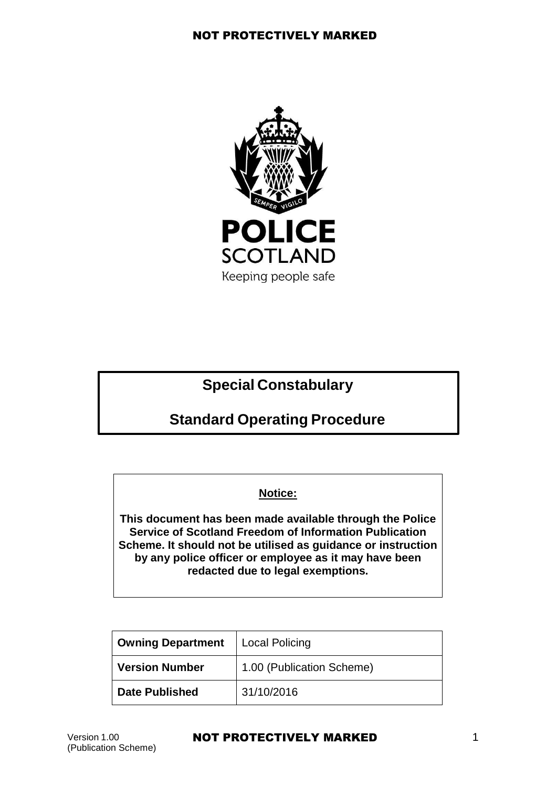

# **Special Constabulary**

# **Standard Operating Procedure**

## **Notice:**

**This document has been made available through the Police Service of Scotland Freedom of Information Publication Scheme. It should not be utilised as guidance or instruction by any police officer or employee as it may have been redacted due to legal exemptions.**

| <b>Owning Department</b> | Local Policing            |
|--------------------------|---------------------------|
| <b>Version Number</b>    | 1.00 (Publication Scheme) |
| <b>Date Published</b>    | 31/10/2016                |

#### Version 1.00 **NOT PROTECTIVELY MARKED** 1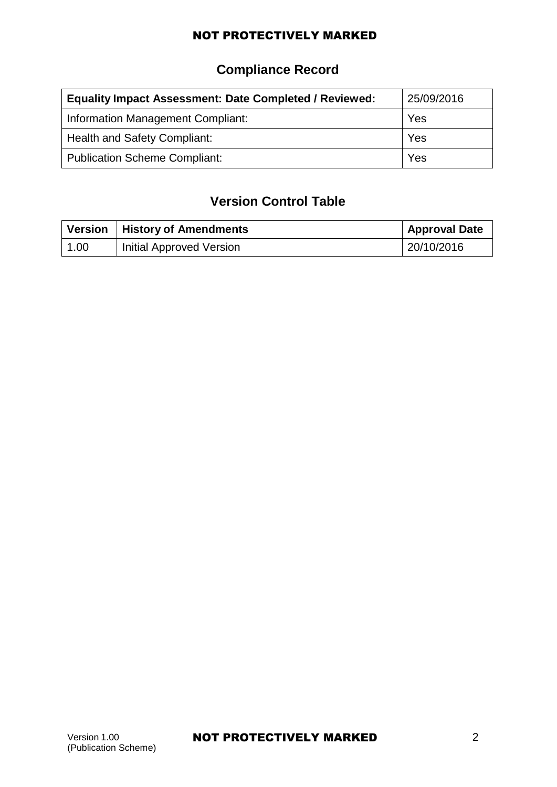# **Compliance Record**

| <b>Equality Impact Assessment: Date Completed / Reviewed:</b> | 25/09/2016 |
|---------------------------------------------------------------|------------|
| Information Management Compliant:                             | Yes        |
| Health and Safety Compliant:                                  | Yes        |
| <b>Publication Scheme Compliant:</b>                          | Yes        |

## **Version Control Table**

|              | Version   History of Amendments | <b>Approval Date</b> |
|--------------|---------------------------------|----------------------|
| $\vert$ 1.00 | <b>Initial Approved Version</b> | 20/10/2016           |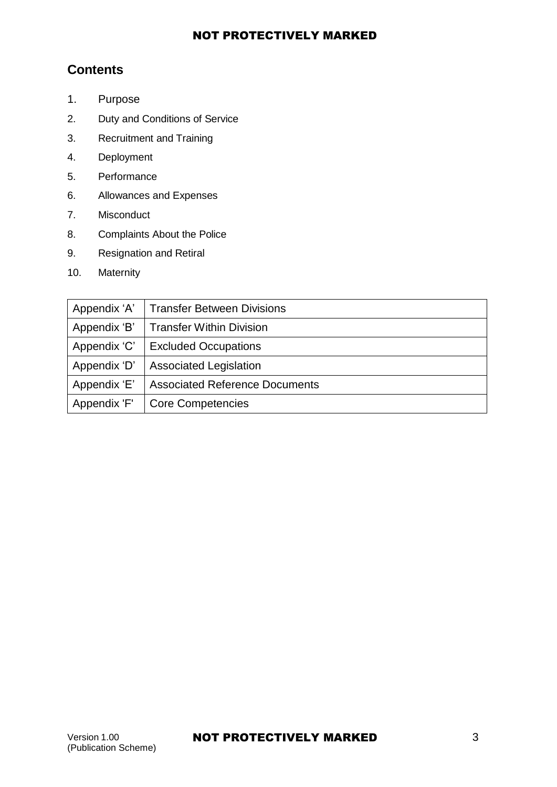## **Contents**

- 1. [Purpose](#page-3-0)
- 2. Duty [and Conditions](#page-3-1) of Service
- 3. [Recruitment](#page-8-0) and Training
- 4. [Deployment](#page-11-0)
- 5. [Performance](#page-19-0)
- 6. [Allowances and Expenses](#page-21-0)
- 7. [Misconduct](#page-24-0)
- 8. [Complaints](#page-30-0) About the Police
- 9. [Resignation and](#page-30-1) Retiral
- 10. [Maternity](#page-31-0)

| Appendix 'A' | <b>Transfer Between Divisions</b>     |
|--------------|---------------------------------------|
| Appendix 'B' | <b>Transfer Within Division</b>       |
| Appendix 'C' | <b>Excluded Occupations</b>           |
| Appendix 'D' | <b>Associated Legislation</b>         |
| Appendix 'E' | <b>Associated Reference Documents</b> |
| Appendix 'F' | <b>Core Competencies</b>              |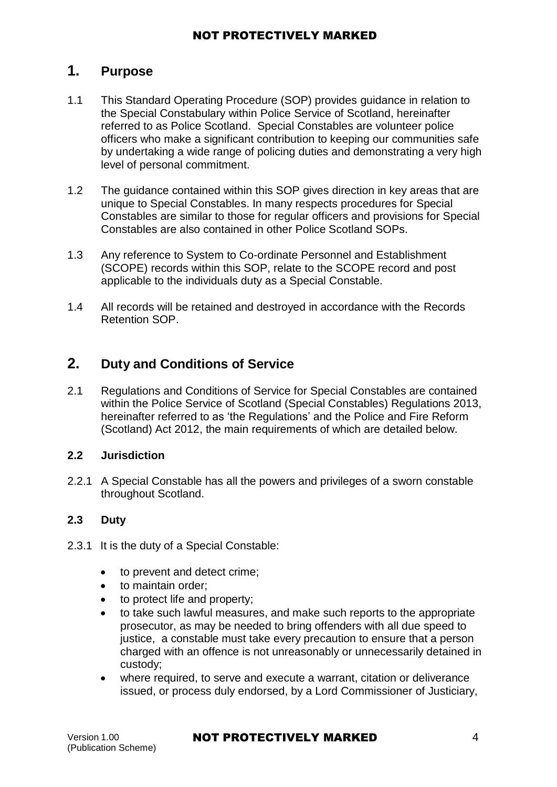## <span id="page-3-0"></span>**1. Purpose**

- 1.1 This Standard Operating Procedure (SOP) provides guidance in relation to the Special Constabulary within Police Service of Scotland, hereinafter referred to as Police Scotland. Special Constables are volunteer police officers who make a significant contribution to keeping our communities safe by undertaking a wide range of policing duties and demonstrating a very high level of personal commitment.
- 1.2 The guidance contained within this SOP gives direction in key areas that are unique to Special Constables. In many respects procedures for Special Constables are similar to those for regular officers and provisions for Special Constables are also contained in other Police Scotland SOPs.
- 1.3 Any reference to System to Co-ordinate Personnel and Establishment (SCOPE) records within this SOP, relate to the SCOPE record and post applicable to the individuals duty as a Special Constable.
- 1.4 All records will be retained and destroyed in accordance with the Records [Retention SOP.](https://spi.spnet.local/policescotland/guidance/Standard%20Operating%20Procedures/Record%20Retention%20PSoS%20SOP.pdf)

## <span id="page-3-1"></span>**2. Duty and Conditions of Service**

2.1 Regulations and Conditions of Service for Special Constables are contained within the Police Service of Scotland (Special Constables) Regulations 2013, hereinafter referred to as 'the Regulations' and the Police and Fire Reform [\(Scotland\) Act](http://www.legislation.gov.uk/asp/2012/8/contents) 2012, the main requirements of which are detailed below.

#### **2.2 Jurisdiction**

2.2.1 A Special Constable has all the powers and privileges of a sworn constable throughout Scotland.

## **2.3 Duty**

- 2.3.1 It is the duty of a Special Constable:
	- to prevent and detect crime;
	- to maintain order;
	- to protect life and property;
	- to take such lawful measures, and make such reports to the appropriate prosecutor, as may be needed to bring offenders with all due speed to justice, a constable must take every precaution to ensure that a person charged with an offence is not unreasonably or unnecessarily detained in custody;
	- where required, to serve and execute a warrant, citation or deliverance issued, or process duly endorsed, by a Lord Commissioner of Justiciary,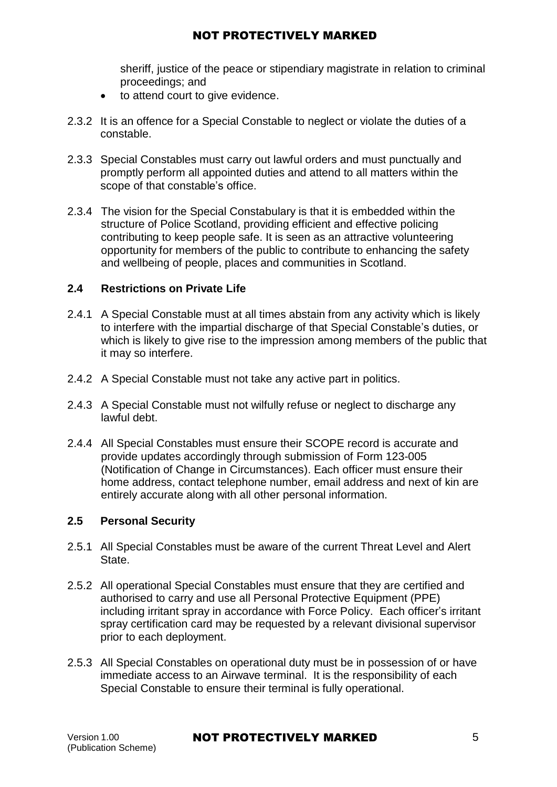sheriff, justice of the peace or stipendiary magistrate in relation to criminal proceedings; and

- to attend court to give evidence.
- 2.3.2 It is an offence for a Special Constable to neglect or violate the duties of a constable.
- 2.3.3 Special Constables must carry out lawful orders and must punctually and promptly perform all appointed duties and attend to all matters within the scope of that constable's office.
- 2.3.4 The vision for the Special Constabulary is that it is embedded within the structure of Police Scotland, providing efficient and effective policing contributing to keep people safe. It is seen as an attractive volunteering opportunity for members of the public to contribute to enhancing the safety and wellbeing of people, places and communities in Scotland.

### **2.4 Restrictions on Private Life**

- 2.4.1 A Special Constable must at all times abstain from any activity which is likely to interfere with the impartial discharge of that Special Constable's duties, or which is likely to give rise to the impression among members of the public that it may so interfere.
- 2.4.2 A Special Constable must not take any active part in politics.
- 2.4.3 A Special Constable must not wilfully refuse or neglect to discharge any lawful debt.
- 2.4.4 All Special Constables must ensure their SCOPE record is accurate and provide updates accordingly through submission of Form 123-005 (Notification of Change in Circumstances). Each officer must ensure their home address, contact telephone number, email address and next of kin are entirely accurate along with all other personal information.

#### **2.5 Personal Security**

- 2.5.1 All Special Constables must be aware of the current Threat Level and Alert State.
- 2.5.2 All operational Special Constables must ensure that they are certified and authorised to carry and use all Personal Protective Equipment (PPE) including irritant spray in accordance with Force Policy. Each officer's irritant spray certification card may be requested by a relevant divisional supervisor prior to each deployment.
- 2.5.3 All Special Constables on operational duty must be in possession of or have immediate access to an Airwave terminal. It is the responsibility of each Special Constable to ensure their terminal is fully operational.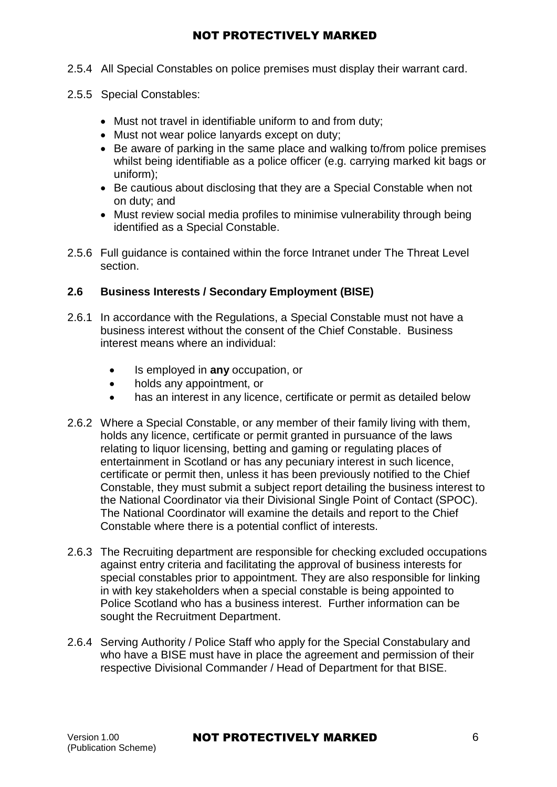- 2.5.4 All Special Constables on police premises must display their warrant card.
- 2.5.5 Special Constables:
	- Must not travel in identifiable uniform to and from duty;
	- Must not wear police lanyards except on duty;
	- Be aware of parking in the same place and walking to/from police premises whilst being identifiable as a police officer (e.g. carrying marked kit bags or uniform);
	- Be cautious about disclosing that they are a Special Constable when not on duty; and
	- Must review social media profiles to minimise vulnerability through being identified as a Special Constable.
- 2.5.6 Full guidance is contained within the force Intranet under The Threat Level [section.](https://spi.spnet.local/policescotland/news/Pages/Topics/Threat-Level.aspx)

## **2.6 Business Interests / Secondary Employment (BISE)**

- 2.6.1 In accordance with the Regulations, a Special Constable must not have a business interest without the consent of the Chief Constable. Business interest means where an individual:
	- Is employed in **any** occupation, or
	- holds any appointment, or
	- has an interest in any licence, certificate or permit as detailed below
- 2.6.2 Where a Special Constable, or any member of their family living with them, holds any licence, certificate or permit granted in pursuance of the laws relating to liquor licensing, betting and gaming or regulating places of entertainment in Scotland or has any pecuniary interest in such licence, certificate or permit then, unless it has been previously notified to the Chief Constable, they must submit a subject report detailing the business interest to the National Coordinator via their Divisional Single Point of Contact (SPOC). The National Coordinator will examine the details and report to the Chief Constable where there is a potential conflict of interests.
- 2.6.3 The Recruiting department are responsible for checking excluded occupations against entry criteria and facilitating the approval of business interests for special constables prior to appointment. They are also responsible for linking in with key stakeholders when a special constable is being appointed to Police Scotland who has a business interest. Further information can be sought the Recruitment Department.
- 2.6.4 Serving Authority / Police Staff who apply for the Special Constabulary and who have a BISE must have in place the agreement and permission of their respective Divisional Commander / Head of Department for that BISE.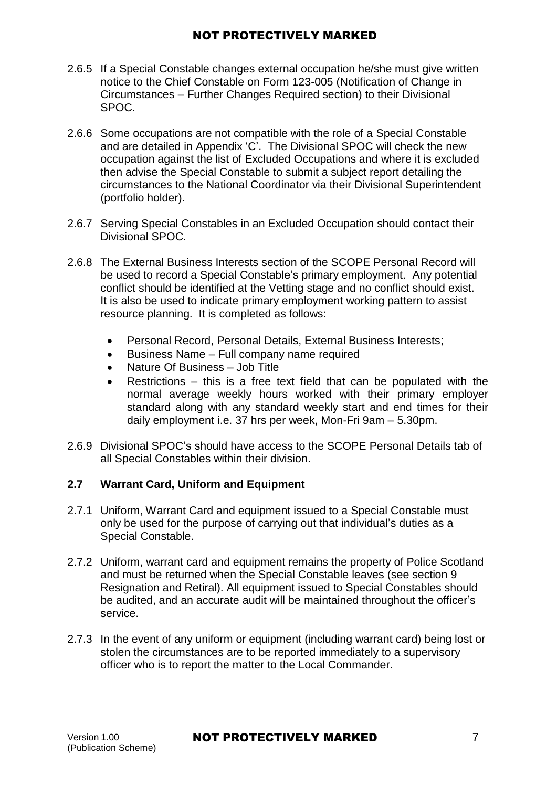- 2.6.5 If a Special Constable changes external occupation he/she must give written notice to the Chief Constable on Form 123-005 (Notification of Change in Circumstances – Further Changes Required section) to their Divisional SPOC.
- 2.6.6 Some occupations are not compatible with the role of a Special Constable and are detailed in Appendix 'C'. The Divisional SPOC will check the new occupation against the list of Excluded Occupations and where it is excluded then advise the Special Constable to submit a subject report detailing the circumstances to the National Coordinator via their Divisional Superintendent (portfolio holder).
- 2.6.7 Serving Special Constables in an Excluded Occupation should contact their Divisional SPOC.
- 2.6.8 The External Business Interests section of the SCOPE Personal Record will be used to record a Special Constable's primary employment. Any potential conflict should be identified at the Vetting stage and no conflict should exist. It is also be used to indicate primary employment working pattern to assist resource planning. It is completed as follows:
	- Personal Record, Personal Details, External Business Interests;
	- Business Name Full company name required
	- Nature Of Business Job Title
	- Restrictions this is a free text field that can be populated with the normal average weekly hours worked with their primary employer standard along with any standard weekly start and end times for their daily employment i.e. 37 hrs per week, Mon-Fri 9am – 5.30pm.
- 2.6.9 Divisional SPOC's should have access to the SCOPE Personal Details tab of all Special Constables within their division.

## **2.7 Warrant Card, Uniform and Equipment**

- 2.7.1 Uniform, Warrant Card and equipment issued to a Special Constable must only be used for the purpose of carrying out that individual's duties as a Special Constable.
- 2.7.2 Uniform, warrant card and equipment remains the property of Police Scotland and must be returned when the Special Constable leaves (see section 9 Resignation and Retiral). All equipment issued to Special Constables should be audited, and an accurate audit will be maintained throughout the officer's service.
- 2.7.3 In the event of any uniform or equipment (including warrant card) being lost or stolen the circumstances are to be reported immediately to a supervisory officer who is to report the matter to the Local Commander.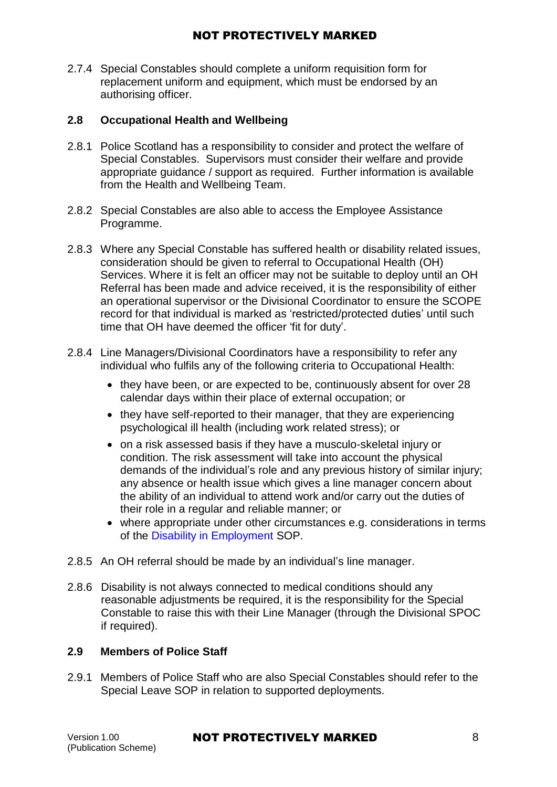2.7.4 Special Constables should complete a uniform requisition form for replacement uniform and equipment, which must be endorsed by an authorising officer.

### **2.8 Occupational Health and Wellbeing**

- 2.8.1 Police Scotland has a responsibility to consider and protect the welfare of Special Constables. Supervisors must consider their welfare and provide appropriate guidance / support as required. Further information is available from the Health and Wellbeing Team.
- 2.8.2 Special Constables are also able to access the Employee Assistance [Programme.](https://spi.spnet.local/commonservices/people-and-development/wellbeing/Pages/AXA-PPP-Newsletters.aspx)
- 2.8.3 Where any Special Constable has suffered health or disability related issues, consideration should be given to referral to Occupational Health (OH) Services. Where it is felt an officer may not be suitable to deploy until an OH [Referral h](https://spi.spnet.local/policescotland/guidance/Force%20Forms/Police-Scotland/Occupational%20Health%20Referral.doc)as been made and advice received, it is the responsibility of either an operational supervisor or the Divisional Coordinator to ensure the SCOPE record for that individual is marked as 'restricted/protected duties' until such time that OH have deemed the officer 'fit for duty'.
- 2.8.4 Line Managers/Divisional Coordinators have a responsibility to refer any individual who fulfils any of the following criteria to Occupational Health:
	- they have been, or are expected to be, continuously absent for over 28 calendar days within their place of external occupation; or
	- they have self-reported to their manager, that they are experiencing psychological ill health (including work related stress); or
	- on a risk assessed basis if they have a musculo-skeletal injury or condition. The risk assessment will take into account the physical demands of the individual's role and any previous history of similar injury; any absence or health issue which gives a line manager concern about the ability of an individual to attend work and/or carry out the duties of their role in a regular and reliable manner; or
	- where appropriate under other circumstances e.g. considerations in terms of the Disability [in Employment](https://spi.spnet.local/policescotland/guidance/Standard%20Operating%20Procedures/Disability%20in%20Employment%20SOP.pdf) SOP.
- 2.8.5 An OH referral should be made by an individual's line manager.
- 2.8.6 Disability is not always connected to medical conditions should any reasonable adjustments be required, it is the responsibility for the Special Constable to raise this with their Line Manager (through the Divisional SPOC if required).

#### **2.9 Members of Police Staff**

2.9.1 Members of Police Staff who are also Special Constables should refer to the Special Leave SOP in relation to supported deployments.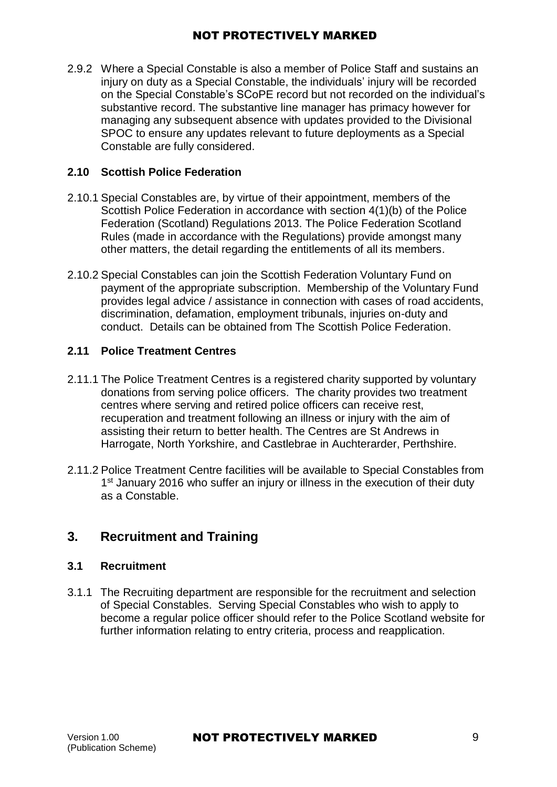2.9.2 Where a Special Constable is also a member of Police Staff and sustains an injury on duty as a Special Constable, the individuals' injury will be recorded on the Special Constable's SCoPE record but not recorded on the individual's substantive record. The substantive line manager has primacy however for managing any subsequent absence with updates provided to the Divisional SPOC to ensure any updates relevant to future deployments as a Special Constable are fully considered.

## **2.10 Scottish Police Federation**

- 2.10.1 Special Constables are, by virtue of their appointment, members of the Scottish Police Federation in accordance with section 4(1)(b) of the Police Federation (Scotland) Regulations 2013. The Police Federation Scotland Rules (made in accordance with the Regulations) provide amongst many other matters, the detail regarding the entitlements of all its members.
- 2.10.2 Special Constables can join the Scottish Federation Voluntary Fund on payment of the appropriate subscription. Membership of the Voluntary Fund provides legal advice / assistance in connection with cases of road accidents, discrimination, defamation, employment tribunals, injuries on-duty and conduct. Details can be obtained from The Scottish Police Federation.

### **2.11 Police Treatment Centres**

- 2.11.1 The Police Treatment Centres is a registered charity supported by voluntary donations from serving police officers. The charity provides two treatment centres where serving and retired police officers can receive rest, recuperation and treatment following an illness or injury with the aim of assisting their return to better health. The Centres are St Andrews in Harrogate, North Yorkshire, and Castlebrae in Auchterarder, Perthshire.
- 2.11.2 Police Treatment Centre facilities will be available to Special Constables from 1<sup>st</sup> January 2016 who suffer an injury or illness in the execution of their duty as a Constable.

## <span id="page-8-0"></span>**3. Recruitment and Training**

#### **3.1 Recruitment**

3.1.1 The Recruiting department are responsible for the recruitment and selection of Special Constables. Serving Special Constables who wish to apply to become a regular police officer should refer to the Police Scotland website for further information relating to entry criteria, process and reapplication.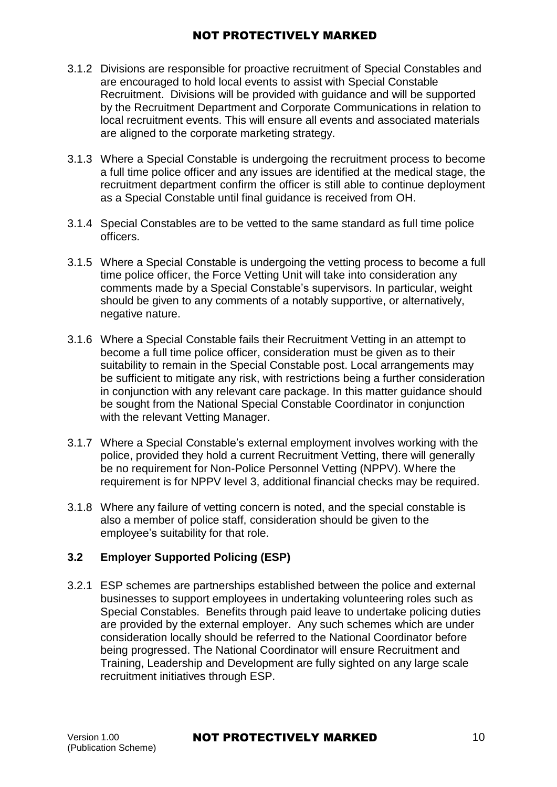- 3.1.2 Divisions are responsible for proactive recruitment of Special Constables and are encouraged to hold local events to assist with Special Constable Recruitment. Divisions will be provided with guidance and will be supported by the Recruitment Department and Corporate Communications in relation to local recruitment events. This will ensure all events and associated materials are aligned to the corporate marketing strategy.
- 3.1.3 Where a Special Constable is undergoing the recruitment process to become a full time police officer and any issues are identified at the medical stage, the recruitment department confirm the officer is still able to continue deployment as a Special Constable until final guidance is received from OH.
- 3.1.4 Special Constables are to be vetted to the same standard as full time police officers.
- 3.1.5 Where a Special Constable is undergoing the vetting process to become a full time police officer, the Force Vetting Unit will take into consideration any comments made by a Special Constable's supervisors. In particular, weight should be given to any comments of a notably supportive, or alternatively, negative nature.
- 3.1.6 Where a Special Constable fails their Recruitment Vetting in an attempt to become a full time police officer, consideration must be given as to their suitability to remain in the Special Constable post. Local arrangements may be sufficient to mitigate any risk, with restrictions being a further consideration in conjunction with any relevant care package. In this matter guidance should be sought from the National Special Constable Coordinator in conjunction with the relevant Vetting Manager.
- 3.1.7 Where a Special Constable's external employment involves working with the police, provided they hold a current Recruitment Vetting, there will generally be no requirement for Non-Police Personnel Vetting (NPPV). Where the requirement is for NPPV level 3, additional financial checks may be required.
- 3.1.8 Where any failure of vetting concern is noted, and the special constable is also a member of police staff, consideration should be given to the employee's suitability for that role.

## **3.2 Employer Supported Policing (ESP)**

3.2.1 ESP schemes are partnerships established between the police and external businesses to support employees in undertaking volunteering roles such as Special Constables. Benefits through paid leave to undertake policing duties are provided by the external employer. Any such schemes which are under consideration locally should be referred to the National Coordinator before being progressed. The National Coordinator will ensure Recruitment and Training, Leadership and Development are fully sighted on any large scale recruitment initiatives through ESP.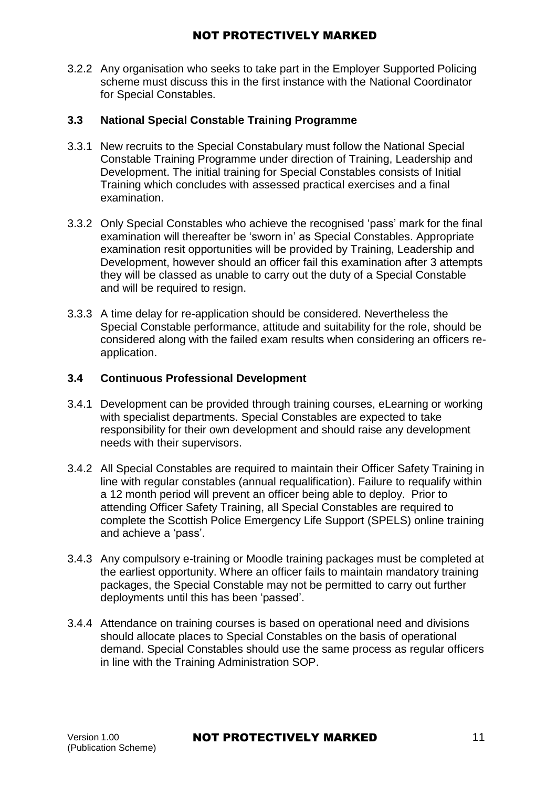3.2.2 Any organisation who seeks to take part in the Employer Supported Policing scheme must discuss this in the first instance with the National Coordinator for Special Constables.

### **3.3 National Special Constable Training Programme**

- 3.3.1 New recruits to the Special Constabulary must follow the National Special Constable Training Programme under direction of Training, Leadership and Development. The initial training for Special Constables consists of Initial Training which concludes with assessed practical exercises and a final examination.
- 3.3.2 Only Special Constables who achieve the recognised 'pass' mark for the final examination will thereafter be 'sworn in' as Special Constables. Appropriate examination resit opportunities will be provided by Training, Leadership and Development, however should an officer fail this examination after 3 attempts they will be classed as unable to carry out the duty of a Special Constable and will be required to resign.
- 3.3.3 A time delay for re-application should be considered. Nevertheless the Special Constable performance, attitude and suitability for the role, should be considered along with the failed exam results when considering an officers reapplication.

### **3.4 Continuous Professional Development**

- 3.4.1 Development can be provided through training courses, eLearning or working with specialist departments. Special Constables are expected to take responsibility for their own development and should raise any development needs with their supervisors.
- 3.4.2 All Special Constables are required to maintain their Officer Safety Training in line with regular constables (annual requalification). Failure to requalify within a 12 month period will prevent an officer being able to deploy. Prior to attending Officer Safety Training, all Special Constables are required to complete the Scottish Police Emergency Life Support (SPELS) online training and achieve a 'pass'.
- 3.4.3 Any compulsory e-training or Moodle training packages must be completed at the earliest opportunity. Where an officer fails to maintain mandatory training packages, the Special Constable may not be permitted to carry out further deployments until this has been 'passed'.
- 3.4.4 Attendance on training courses is based on operational need and divisions should allocate places to Special Constables on the basis of operational demand. Special Constables should use the same process as regular officers in line with the Training Administration SOP.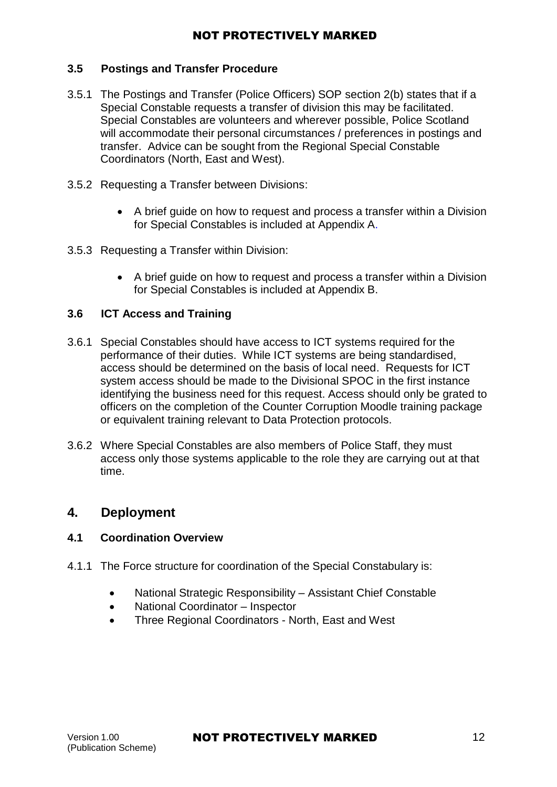### **3.5 Postings and Transfer Procedure**

- 3.5.1 The Postings and Transfer (Police Officers) SOP section 2(b) states that if a Special Constable requests a transfer of division this may be facilitated. Special Constables are volunteers and wherever possible, Police Scotland will accommodate their personal circumstances / preferences in postings and transfer. Advice can be sought from the Regional Special Constable Coordinators (North, East and West).
- 3.5.2 Requesting a Transfer between Divisions:
	- A brief guide on how to request and process a transfer within a Division for Special Constables is included at Appendix A.
- 3.5.3 Requesting a Transfer within Division:
	- A brief guide on how to request and process a transfer within a Division for Special Constables is included at Appendix B.

#### **3.6 ICT Access and Training**

- 3.6.1 Special Constables should have access to ICT systems required for the performance of their duties. While ICT systems are being standardised, access should be determined on the basis of local need. Requests for ICT system access should be made to the Divisional SPOC in the first instance identifying the business need for this request. Access should only be grated to officers on the completion of the Counter Corruption Moodle training package or equivalent training relevant to Data Protection protocols.
- 3.6.2 Where Special Constables are also members of Police Staff, they must access only those systems applicable to the role they are carrying out at that time.

## <span id="page-11-0"></span>**4. Deployment**

#### **4.1 Coordination Overview**

- 4.1.1 The Force structure for coordination of the Special Constabulary is:
	- National Strategic Responsibility Assistant Chief Constable
	- National Coordinator Inspector
	- Three Regional Coordinators North, East and West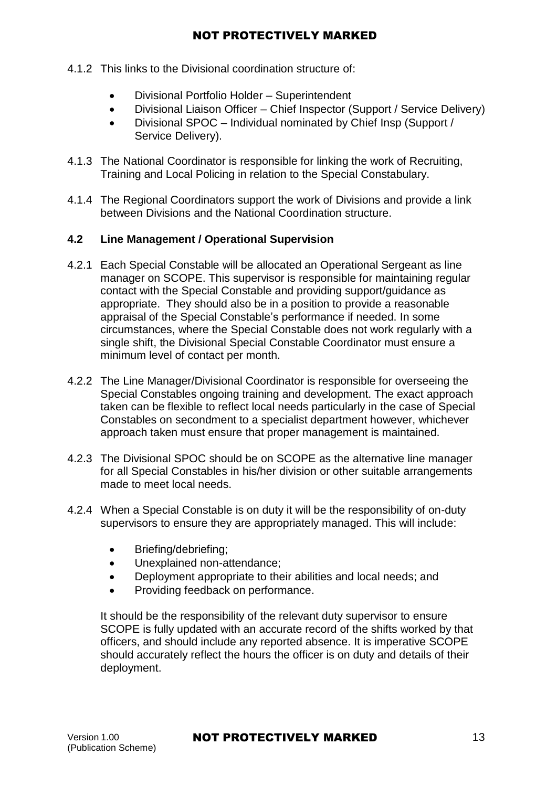- 4.1.2 This links to the Divisional coordination structure of:
	- Divisional Portfolio Holder Superintendent
	- Divisional Liaison Officer Chief Inspector (Support / Service Delivery)
	- Divisional SPOC Individual nominated by Chief Insp (Support / Service Delivery).
- 4.1.3 The National Coordinator is responsible for linking the work of Recruiting, Training and Local Policing in relation to the Special Constabulary.
- 4.1.4 The Regional Coordinators support the work of Divisions and provide a link between Divisions and the National Coordination structure.

## **4.2 Line Management / Operational Supervision**

- 4.2.1 Each Special Constable will be allocated an Operational Sergeant as line manager on SCOPE. This supervisor is responsible for maintaining regular contact with the Special Constable and providing support/guidance as appropriate. They should also be in a position to provide a reasonable appraisal of the Special Constable's performance if needed. In some circumstances, where the Special Constable does not work regularly with a single shift, the Divisional Special Constable Coordinator must ensure a minimum level of contact per month.
- 4.2.2 The Line Manager/Divisional Coordinator is responsible for overseeing the Special Constables ongoing training and development. The exact approach taken can be flexible to reflect local needs particularly in the case of Special Constables on secondment to a specialist department however, whichever approach taken must ensure that proper management is maintained.
- 4.2.3 The Divisional SPOC should be on SCOPE as the alternative line manager for all Special Constables in his/her division or other suitable arrangements made to meet local needs.
- 4.2.4 When a Special Constable is on duty it will be the responsibility of on-duty supervisors to ensure they are appropriately managed. This will include:
	- Briefing/debriefing;
	- Unexplained non-attendance;
	- Deployment appropriate to their abilities and local needs; and
	- Providing feedback on performance.

It should be the responsibility of the relevant duty supervisor to ensure SCOPE is fully updated with an accurate record of the shifts worked by that officers, and should include any reported absence. It is imperative SCOPE should accurately reflect the hours the officer is on duty and details of their deployment.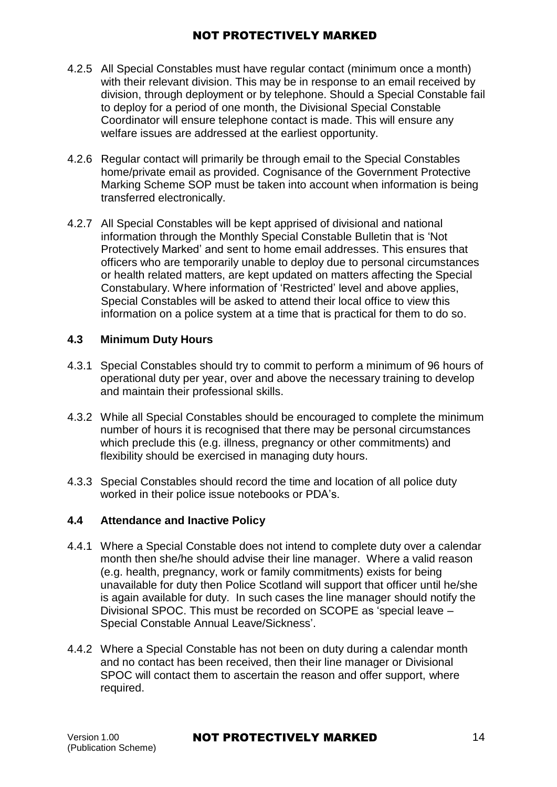- 4.2.5 All Special Constables must have regular contact (minimum once a month) with their relevant division. This may be in response to an email received by division, through deployment or by telephone. Should a Special Constable fail to deploy for a period of one month, the Divisional Special Constable Coordinator will ensure telephone contact is made. This will ensure any welfare issues are addressed at the earliest opportunity.
- 4.2.6 Regular contact will primarily be through email to the Special Constables home/private email as provided. Cognisance of the Government Protective Marking [Scheme SOP](https://spi.spnet.local/policescotland/guidance/Standard%20Operating%20Procedures/Government%20Protective%20Marking%20Scheme%20(GPMS)%20PSoS%20SOP.pdf) must be taken into account when information is being transferred electronically.
- 4.2.7 All Special Constables will be kept apprised of divisional and national information through the Monthly Special Constable Bulletin that is 'Not Protectively Marked' and sent to home email addresses. This ensures that officers who are temporarily unable to deploy due to personal circumstances or health related matters, are kept updated on matters affecting the Special Constabulary. Where information of 'Restricted' level and above applies, Special Constables will be asked to attend their local office to view this information on a police system at a time that is practical for them to do so.

## **4.3 Minimum Duty Hours**

- 4.3.1 Special Constables should try to commit to perform a minimum of 96 hours of operational duty per year, over and above the necessary training to develop and maintain their professional skills.
- 4.3.2 While all Special Constables should be encouraged to complete the minimum number of hours it is recognised that there may be personal circumstances which preclude this (e.g. illness, pregnancy or other commitments) and flexibility should be exercised in managing duty hours.
- 4.3.3 Special Constables should record the time and location of all police duty worked in their police issue notebooks or PDA's.

## **4.4 Attendance and Inactive Policy**

- 4.4.1 Where a Special Constable does not intend to complete duty over a calendar month then she/he should advise their line manager. Where a valid reason (e.g. health, pregnancy, work or family commitments) exists for being unavailable for duty then Police Scotland will support that officer until he/she is again available for duty. In such cases the line manager should notify the Divisional SPOC. This must be recorded on SCOPE as 'special leave – Special Constable Annual Leave/Sickness'.
- 4.4.2 Where a Special Constable has not been on duty during a calendar month and no contact has been received, then their line manager or Divisional SPOC will contact them to ascertain the reason and offer support, where required.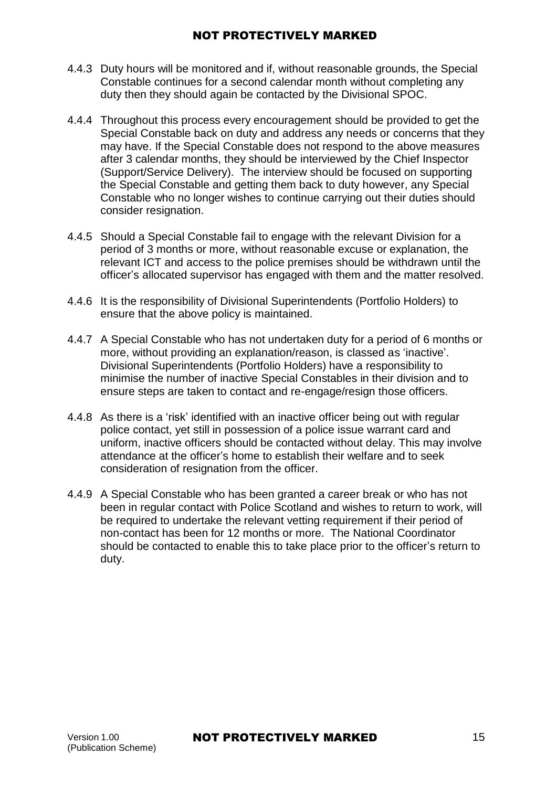- 4.4.3 Duty hours will be monitored and if, without reasonable grounds, the Special Constable continues for a second calendar month without completing any duty then they should again be contacted by the Divisional SPOC.
- 4.4.4 Throughout this process every encouragement should be provided to get the Special Constable back on duty and address any needs or concerns that they may have. If the Special Constable does not respond to the above measures after 3 calendar months, they should be interviewed by the Chief Inspector (Support/Service Delivery). The interview should be focused on supporting the Special Constable and getting them back to duty however, any Special Constable who no longer wishes to continue carrying out their duties should consider resignation.
- 4.4.5 Should a Special Constable fail to engage with the relevant Division for a period of 3 months or more, without reasonable excuse or explanation, the relevant ICT and access to the police premises should be withdrawn until the officer's allocated supervisor has engaged with them and the matter resolved.
- 4.4.6 It is the responsibility of Divisional Superintendents (Portfolio Holders) to ensure that the above policy is maintained.
- 4.4.7 A Special Constable who has not undertaken duty for a period of 6 months or more, without providing an explanation/reason, is classed as 'inactive'. Divisional Superintendents (Portfolio Holders) have a responsibility to minimise the number of inactive Special Constables in their division and to ensure steps are taken to contact and re-engage/resign those officers.
- 4.4.8 As there is a 'risk' identified with an inactive officer being out with regular police contact, yet still in possession of a police issue warrant card and uniform, inactive officers should be contacted without delay. This may involve attendance at the officer's home to establish their welfare and to seek consideration of resignation from the officer.
- 4.4.9 A Special Constable who has been granted a career break or who has not been in regular contact with Police Scotland and wishes to return to work, will be required to undertake the relevant vetting requirement if their period of non-contact has been for 12 months or more. The National Coordinator should be contacted to enable this to take place prior to the officer's return to duty.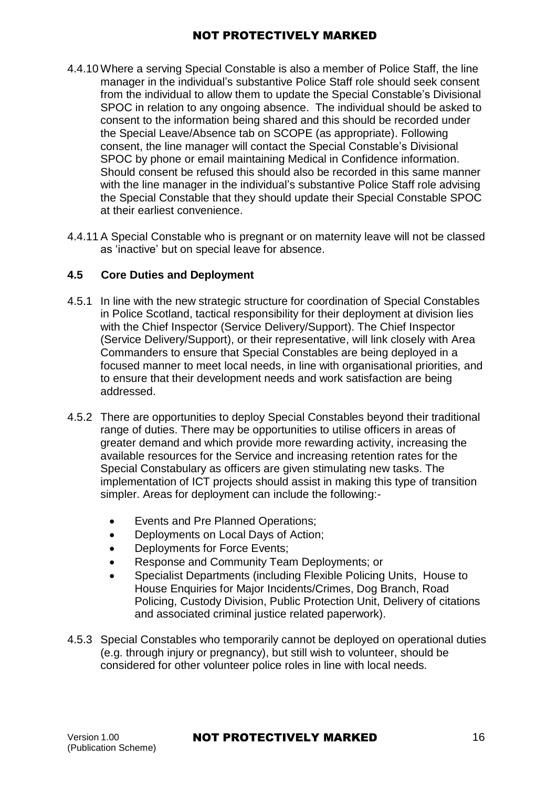- 4.4.10 Where a serving Special Constable is also a member of Police Staff, the line manager in the individual's substantive Police Staff role should seek consent from the individual to allow them to update the Special Constable's Divisional SPOC in relation to any ongoing absence. The individual should be asked to consent to the information being shared and this should be recorded under the Special Leave/Absence tab on SCOPE (as appropriate). Following consent, the line manager will contact the Special Constable's Divisional SPOC by phone or email maintaining Medical in Confidence information. Should consent be refused this should also be recorded in this same manner with the line manager in the individual's substantive Police Staff role advising the Special Constable that they should update their Special Constable SPOC at their earliest convenience.
- 4.4.11A Special Constable who is pregnant or on maternity leave will not be classed as 'inactive' but on special leave for absence.

### **4.5 Core Duties and Deployment**

- 4.5.1 In line with the new strategic structure for coordination of Special Constables in Police Scotland, tactical responsibility for their deployment at division lies with the Chief Inspector (Service Delivery/Support). The Chief Inspector (Service Delivery/Support), or their representative, will link closely with Area Commanders to ensure that Special Constables are being deployed in a focused manner to meet local needs, in line with organisational priorities, and to ensure that their development needs and work satisfaction are being addressed.
- 4.5.2 There are opportunities to deploy Special Constables beyond their traditional range of duties. There may be opportunities to utilise officers in areas of greater demand and which provide more rewarding activity, increasing the available resources for the Service and increasing retention rates for the Special Constabulary as officers are given stimulating new tasks. The implementation of ICT projects should assist in making this type of transition simpler. Areas for deployment can include the following:-
	- Events and Pre Planned Operations;
	- Deployments on Local Days of Action;
	- Deployments for Force Events;
	- Response and Community Team Deployments; or
	- Specialist Departments (including Flexible Policing Units, House to House Enquiries for Major Incidents/Crimes, Dog Branch, Road Policing, Custody Division, Public Protection Unit, Delivery of citations and associated criminal justice related paperwork).
- 4.5.3 Special Constables who temporarily cannot be deployed on operational duties (e.g. through injury or pregnancy), but still wish to volunteer, should be considered for other volunteer police roles in line with local needs.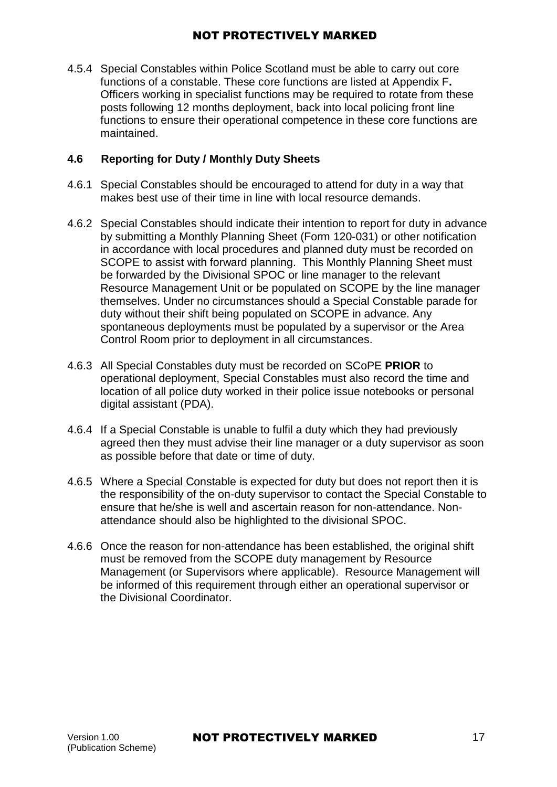4.5.4 Special Constables within Police Scotland must be able to carry out core functions of a constable. These core functions are listed at Appendix F**.**  Officers working in specialist functions may be required to rotate from these posts following 12 months deployment, back into local policing front line functions to ensure their operational competence in these core functions are maintained.

## **4.6 Reporting for Duty / Monthly Duty Sheets**

- 4.6.1 Special Constables should be encouraged to attend for duty in a way that makes best use of their time in line with local resource demands.
- 4.6.2 Special Constables should indicate their intention to report for duty in advance by submitting a Monthly Planning Sheet (Form 120-031) or other notification in accordance with local procedures and planned duty must be recorded on SCOPE to assist with forward planning. This Monthly Planning Sheet must be forwarded by the Divisional SPOC or line manager to the relevant Resource Management Unit or be populated on SCOPE by the line manager themselves. Under no circumstances should a Special Constable parade for duty without their shift being populated on SCOPE in advance. Any spontaneous deployments must be populated by a supervisor or the Area Control Room prior to deployment in all circumstances.
- 4.6.3 All Special Constables duty must be recorded on SCoPE **PRIOR** to operational deployment, Special Constables must also record the time and location of all police duty worked in their police issue notebooks or personal digital assistant (PDA).
- 4.6.4 If a Special Constable is unable to fulfil a duty which they had previously agreed then they must advise their line manager or a duty supervisor as soon as possible before that date or time of duty.
- 4.6.5 Where a Special Constable is expected for duty but does not report then it is the responsibility of the on-duty supervisor to contact the Special Constable to ensure that he/she is well and ascertain reason for non-attendance. Nonattendance should also be highlighted to the divisional SPOC.
- 4.6.6 Once the reason for non-attendance has been established, the original shift must be removed from the SCOPE duty management by Resource Management (or Supervisors where applicable). Resource Management will be informed of this requirement through either an operational supervisor or the Divisional Coordinator.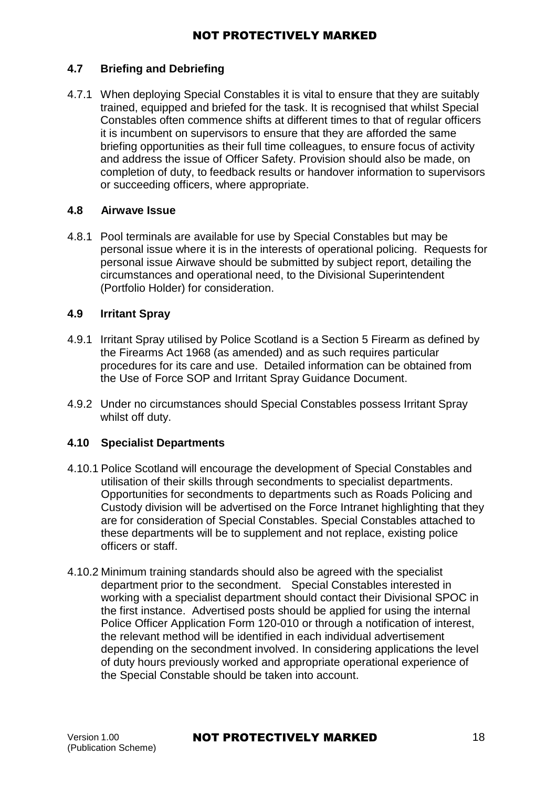## **4.7 Briefing and Debriefing**

4.7.1 When deploying Special Constables it is vital to ensure that they are suitably trained, equipped and briefed for the task. It is recognised that whilst Special Constables often commence shifts at different times to that of regular officers it is incumbent on supervisors to ensure that they are afforded the same briefing opportunities as their full time colleagues, to ensure focus of activity and address the issue of Officer Safety. Provision should also be made, on completion of duty, to feedback results or handover information to supervisors or succeeding officers, where appropriate.

#### **4.8 Airwave Issue**

4.8.1 Pool terminals are available for use by Special Constables but may be personal issue where it is in the interests of operational policing. Requests for personal issue Airwave should be submitted by subject report, detailing the circumstances and operational need, to the Divisional Superintendent (Portfolio Holder) for consideration.

#### **4.9 Irritant Spray**

- 4.9.1 Irritant Spray utilised by Police Scotland is a Section 5 Firearm as defined by the Firearms Act 1968 (as amended) and as such requires particular procedures for its care and use. Detailed information can be obtained from the Use of Force SOP and Irritant Spray Guidance Document.
- 4.9.2 Under no circumstances should Special Constables possess Irritant Spray whilst off duty.

#### **4.10 Specialist Departments**

- 4.10.1 Police Scotland will encourage the development of Special Constables and utilisation of their skills through secondments to specialist departments. Opportunities for secondments to departments such as Roads Policing and Custody division will be advertised on the Force Intranet highlighting that they are for consideration of Special Constables. Special Constables attached to these departments will be to supplement and not replace, existing police officers or staff.
- 4.10.2 Minimum training standards should also be agreed with the specialist department prior to the secondment. Special Constables interested in working with a specialist department should contact their Divisional SPOC in the first instance. Advertised posts should be applied for using the internal Police Officer Application Form 120-010 or through a notification of interest, the relevant method will be identified in each individual advertisement depending on the secondment involved. In considering applications the level of duty hours previously worked and appropriate operational experience of the Special Constable should be taken into account.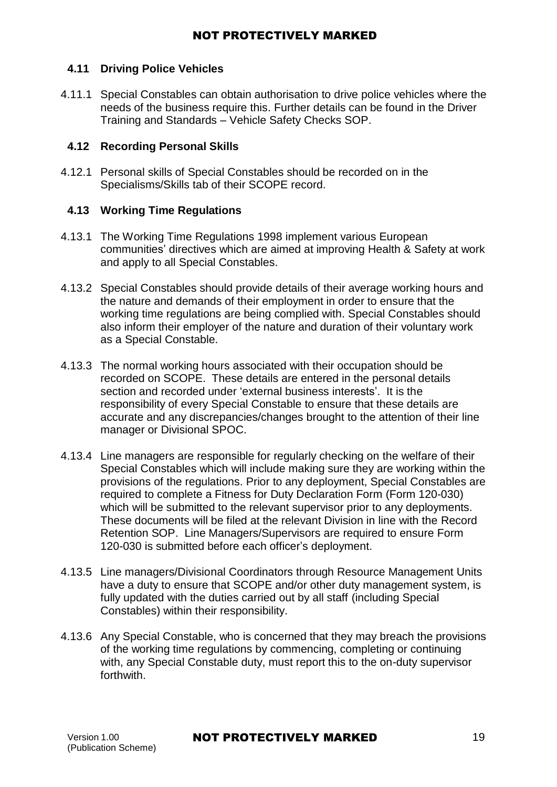### **4.11 Driving Police Vehicles**

4.11.1 Special Constables can obtain authorisation to drive police vehicles where the needs of the business require this. Further details can be found in the [Driver](https://spi.spnet.local/policescotland/guidance/Standard%20Operating%20Procedures/Driver%20Training%20and%20Standards%20-%20Vehicle%20Safety%20Checks%20PSoS%20SOP.pdf) Training and Standards – Vehicle Safety Checks SOP.

### **4.12 Recording Personal Skills**

4.12.1 Personal skills of Special Constables should be recorded on in the Specialisms/Skills tab of their SCOPE record.

### **4.13 Working Time Regulations**

- 4.13.1 The Working Time Regulations 1998 implement various European communities' directives which are aimed at improving Health & Safety at work and apply to all Special Constables.
- 4.13.2 Special Constables should provide details of their average working hours and the nature and demands of their employment in order to ensure that the working time regulations are being complied with. Special Constables should also inform their employer of the nature and duration of their voluntary work as a Special Constable.
- 4.13.3 The normal working hours associated with their occupation should be recorded on SCOPE. These details are entered in the personal details section and recorded under 'external business interests'. It is the responsibility of every Special Constable to ensure that these details are accurate and any discrepancies/changes brought to the attention of their line manager or Divisional SPOC.
- 4.13.4 Line managers are responsible for regularly checking on the welfare of their Special Constables which will include making sure they are working within the provisions of the regulations. Prior to any deployment, Special Constables are required to complete a Fitness for Duty Declaration Form (Form [120-030\)](https://spi.spnet.local/policescotland/guidance/Force%20Forms/Police-Scotland/Special%20Constable%20-%20Working%20Time%20Regulations%20-%20Fitness%20For%20Duty%20Declaration.doc) which will be submitted to the relevant supervisor prior to any deployments. These documents will be filed at the relevant Division in line with the Record [Retention SOP.](https://spi.spnet.local/policescotland/guidance/Standard%20Operating%20Procedures/Record%20Retention%20PSoS%20SOP.pdf) Line Managers/Supervisors are required to ensure Form [120-030](https://spi.spnet.local/policescotland/guidance/Force%20Forms/Police-Scotland/Special%20Constable%20-%20Working%20Time%20Regulations%20-%20Fitness%20For%20Duty%20Declaration.doc) is submitted before each officer's deployment.
- 4.13.5 Line managers/Divisional Coordinators through Resource Management Units have a duty to ensure that SCOPE and/or other duty management system, is fully updated with the duties carried out by all staff (including Special Constables) within their responsibility.
- 4.13.6 Any Special Constable, who is concerned that they may breach the provisions of the working time regulations by commencing, completing or continuing with, any Special Constable duty, must report this to the on-duty supervisor forthwith.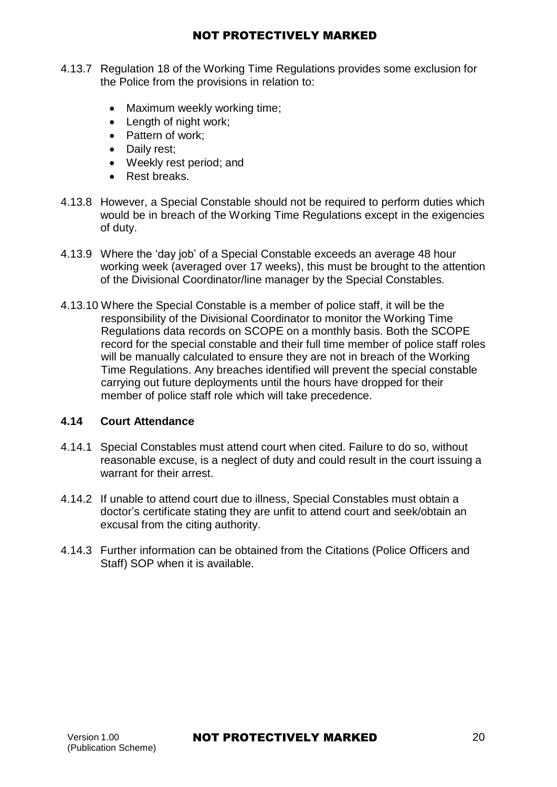- <span id="page-19-0"></span>4.13.7 Regulation 18 of the Working Time Regulations provides some exclusion for the Police from the provisions in relation to:
	- Maximum weekly working time;
	- Length of night work:
	- Pattern of work;
	- Daily rest:
	- Weekly rest period; and
	- Rest breaks.
- 4.13.8 However, a Special Constable should not be required to perform duties which would be in breach of the Working Time Regulations except in the exigencies of duty.
- 4.13.9 Where the 'day job' of a Special Constable exceeds an average 48 hour working week (averaged over 17 weeks), this must be brought to the attention of the Divisional Coordinator/line manager by the Special Constables.
- 4.13.10 Where the Special Constable is a member of police staff, it will be the responsibility of the Divisional Coordinator to monitor the Working Time Regulations data records on SCOPE on a monthly basis. Both the SCOPE record for the special constable and their full time member of police staff roles will be manually calculated to ensure they are not in breach of the Working Time Regulations. Any breaches identified will prevent the special constable carrying out future deployments until the hours have dropped for their member of police staff role which will take precedence.

#### **4.14 Court Attendance**

- 4.14.1 Special Constables must attend court when cited. Failure to do so, without reasonable excuse, is a neglect of duty and could result in the court issuing a warrant for their arrest.
- 4.14.2 If unable to attend court due to illness, Special Constables must obtain a doctor's certificate stating they are unfit to attend court and seek/obtain an excusal from the citing authority.
- 4.14.3 Further information can be obtained from the Citations (Police Officers and [Staff\)](https://spi.spnet.local/policescotland/guidance/Standard%20Operating%20Procedures/Citations%20(Police%20Officers%20and%20Staff)%20SOP.pdf) SOP when it is available.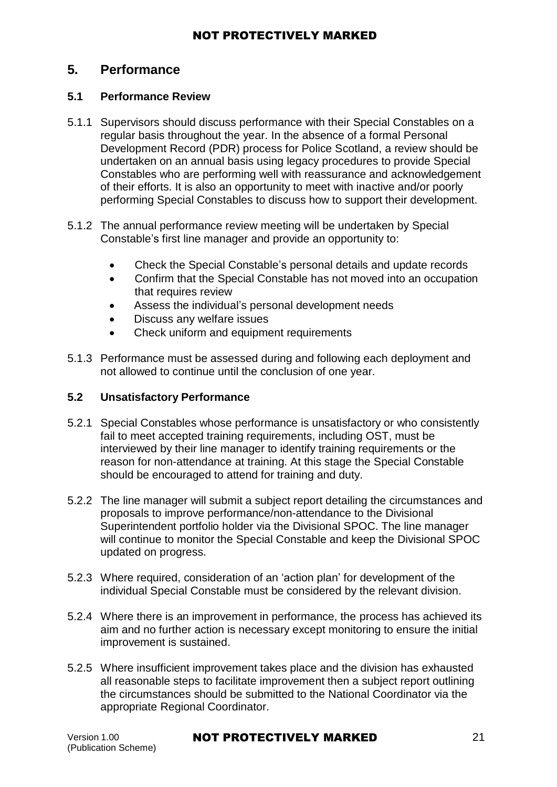## **5. Performance**

## **5.1 Performance Review**

- 5.1.1 Supervisors should discuss performance with their Special Constables on a regular basis throughout the year. In the absence of a formal Personal Development Record (PDR) process for Police Scotland, a review should be undertaken on an annual basis using legacy procedures to provide Special Constables who are performing well with reassurance and acknowledgement of their efforts. It is also an opportunity to meet with inactive and/or poorly performing Special Constables to discuss how to support their development.
- 5.1.2 The annual performance review meeting will be undertaken by Special Constable's first line manager and provide an opportunity to:
	- Check the Special Constable's personal details and update records
	- Confirm that the Special Constable has not moved into an occupation that requires review
	- Assess the individual's personal development needs
	- Discuss any welfare issues
	- Check uniform and equipment requirements
- 5.1.3 Performance must be assessed during and following each deployment and not allowed to continue until the conclusion of one year.

## **5.2 Unsatisfactory Performance**

- 5.2.1 Special Constables whose performance is unsatisfactory or who consistently fail to meet accepted training requirements, including OST, must be interviewed by their line manager to identify training requirements or the reason for non-attendance at training. At this stage the Special Constable should be encouraged to attend for training and duty.
- 5.2.2 The line manager will submit a subject report detailing the circumstances and proposals to improve performance/non-attendance to the Divisional Superintendent portfolio holder via the Divisional SPOC. The line manager will continue to monitor the Special Constable and keep the Divisional SPOC updated on progress.
- 5.2.3 Where required, consideration of an 'action plan' for development of the individual Special Constable must be considered by the relevant division.
- 5.2.4 Where there is an improvement in performance, the process has achieved its aim and no further action is necessary except monitoring to ensure the initial improvement is sustained.
- 5.2.5 Where insufficient improvement takes place and the division has exhausted all reasonable steps to facilitate improvement then a subject report outlining the circumstances should be submitted to the National Coordinator via the appropriate Regional Coordinator.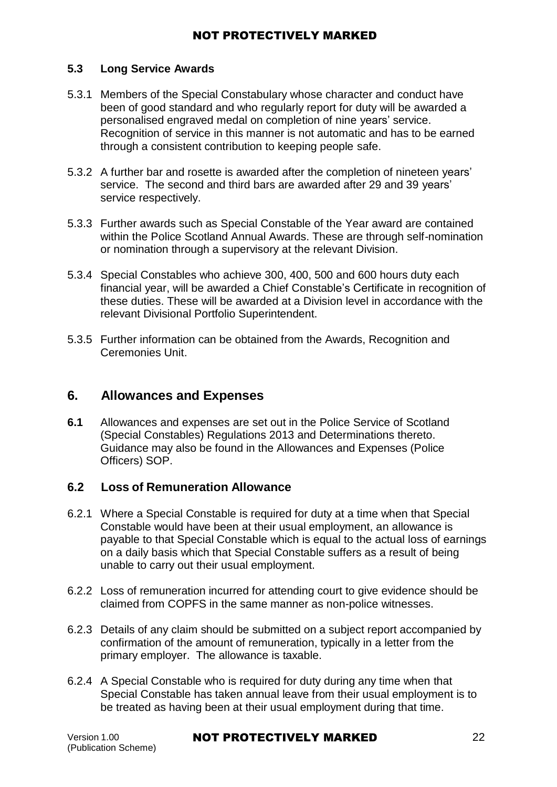#### **5.3 Long Service Awards**

- 5.3.1 Members of the Special Constabulary whose character and conduct have been of good standard and who regularly report for duty will be awarded a personalised engraved medal on completion of nine years' service. Recognition of service in this manner is not automatic and has to be earned through a consistent contribution to keeping people safe.
- 5.3.2 A further bar and rosette is awarded after the completion of nineteen years' service. The second and third bars are awarded after 29 and 39 years' service respectively.
- 5.3.3 Further awards such as Special Constable of the Year award are contained within the Police Scotland Annual Awards. These are through self-nomination or nomination through a supervisory at the relevant Division.
- 5.3.4 Special Constables who achieve 300, 400, 500 and 600 hours duty each financial year, will be awarded a Chief Constable's Certificate in recognition of these duties. These will be awarded at a Division level in accordance with the relevant Divisional Portfolio Superintendent.
- 5.3.5 Further information can be obtained from the Awards, Recognition and [Ceremonies Unit.](https://spi.spnet.local/policescotland/about-us/executive-support/Pages/Awards.aspx)

## <span id="page-21-0"></span>**6. Allowances and Expenses**

**6.1** Allowances and expenses are set out in the Police Service of Scotland [\(Special Constables\) Regulations](http://www.legislation.gov.uk/ssi/2013/43/contents/made) 2013 and Determinations thereto. Guidance may also be found in the Allowances and Expenses (Police [Officers\)](https://spi.spnet.local/policescotland/guidance/Standard%20Operating%20Procedures/Allowances%20and%20Expenses%20(Police%20Officer)%20SOP.pdf) SOP.

## **6.2 Loss of Remuneration Allowance**

- 6.2.1 Where a Special Constable is required for duty at a time when that Special Constable would have been at their usual employment, an allowance is payable to that Special Constable which is equal to the actual loss of earnings on a daily basis which that Special Constable suffers as a result of being unable to carry out their usual employment.
- 6.2.2 Loss of remuneration incurred for attending court to give evidence should be claimed from COPFS in the same manner as non-police witnesses.
- 6.2.3 Details of any claim should be submitted on a subject report accompanied by confirmation of the amount of remuneration, typically in a letter from the primary employer. The allowance is taxable.
- 6.2.4 A Special Constable who is required for duty during any time when that Special Constable has taken annual leave from their usual employment is to be treated as having been at their usual employment during that time.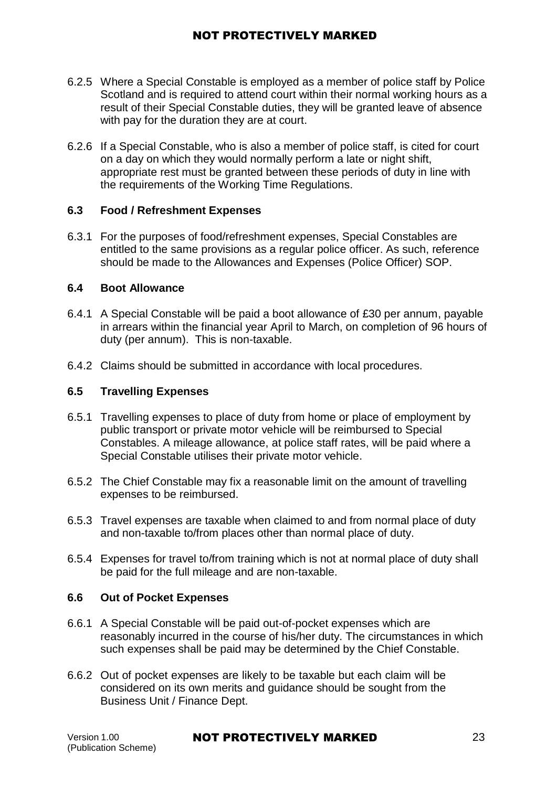- 6.2.5 Where a Special Constable is employed as a member of police staff by Police Scotland and is required to attend court within their normal working hours as a result of their Special Constable duties, they will be granted leave of absence with pay for the duration they are at court.
- 6.2.6 If a Special Constable, who is also a member of police staff, is cited for court on a day on which they would normally perform a late or night shift, appropriate rest must be granted between these periods of duty in line with the requirements of the Working Time Regulations.

#### **6.3 Food / Refreshment Expenses**

6.3.1 For the purposes of food/refreshment expenses, Special Constables are entitled to the same provisions as a regular police officer. As such, reference should be made to the Allowances and Expenses (Police Officer) SOP.

#### **6.4 Boot Allowance**

- 6.4.1 A Special Constable will be paid a boot allowance of £30 per annum, payable in arrears within the financial year April to March, on completion of 96 hours of duty (per annum). This is non-taxable.
- 6.4.2 Claims should be submitted in accordance with local procedures.

### **6.5 Travelling Expenses**

- 6.5.1 Travelling expenses to place of duty from home or place of employment by public transport or private motor vehicle will be reimbursed to Special Constables. A mileage allowance, at police staff rates, will be paid where a Special Constable utilises their private motor vehicle.
- 6.5.2 The Chief Constable may fix a reasonable limit on the amount of travelling expenses to be reimbursed.
- 6.5.3 Travel expenses are taxable when claimed to and from normal place of duty and non-taxable to/from places other than normal place of duty.
- 6.5.4 Expenses for travel to/from training which is not at normal place of duty shall be paid for the full mileage and are non-taxable.

#### **6.6 Out of Pocket Expenses**

- 6.6.1 A Special Constable will be paid out-of-pocket expenses which are reasonably incurred in the course of his/her duty. The circumstances in which such expenses shall be paid may be determined by the Chief Constable.
- 6.6.2 Out of pocket expenses are likely to be taxable but each claim will be considered on its own merits and guidance should be sought from the Business Unit / Finance Dept.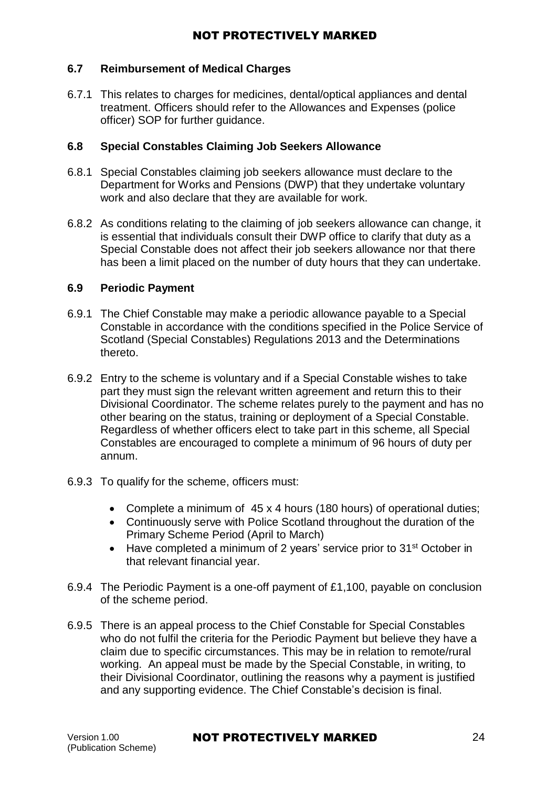#### **6.7 Reimbursement of Medical Charges**

6.7.1 This relates to charges for medicines, dental/optical appliances and dental treatment. Officers should refer to the Allowances and Expenses (police [officer\)](https://spi.spnet.local/policescotland/guidance/Standard%20Operating%20Procedures/Allowances%20and%20Expenses%20(Police%20Officer)%20SOP.pdf) SOP for further guidance.

#### **6.8 Special Constables Claiming Job Seekers Allowance**

- 6.8.1 Special Constables claiming job seekers allowance must declare to the Department for Works and Pensions (DWP) that they undertake voluntary work and also declare that they are available for work.
- 6.8.2 As conditions relating to the claiming of job seekers allowance can change, it is essential that individuals consult their DWP office to clarify that duty as a Special Constable does not affect their job seekers allowance nor that there has been a limit placed on the number of duty hours that they can undertake.

#### **6.9 Periodic Payment**

- 6.9.1 The Chief Constable may make a periodic allowance payable to a Special Constable in accordance with the conditions specified in the Police Service of [Scotland \(Special Constables\) Regulations 2013 a](http://www.legislation.gov.uk/ssi/2013/43/contents/made)nd the Determinations thereto.
- 6.9.2 Entry to the scheme is voluntary and if a Special Constable wishes to take part they must sign the relevant written agreement and return this to their Divisional Coordinator. The scheme relates purely to the payment and has no other bearing on the status, training or deployment of a Special Constable. Regardless of whether officers elect to take part in this scheme, all Special Constables are encouraged to complete a minimum of 96 hours of duty per annum.
- 6.9.3 To qualify for the scheme, officers must:
	- Complete a minimum of 45 x 4 hours (180 hours) of operational duties;
	- Continuously serve with Police Scotland throughout the duration of the Primary Scheme Period (April to March)
	- Have completed a minimum of 2 years' service prior to 31<sup>st</sup> October in that relevant financial year.
- 6.9.4 The Periodic Payment is a one-off payment of £1,100, payable on conclusion of the scheme period.
- 6.9.5 There is an appeal process to the Chief Constable for Special Constables who do not fulfil the criteria for the Periodic Payment but believe they have a claim due to specific circumstances. This may be in relation to remote/rural working. An appeal must be made by the Special Constable, in writing, to their Divisional Coordinator, outlining the reasons why a payment is justified and any supporting evidence. The Chief Constable's decision is final.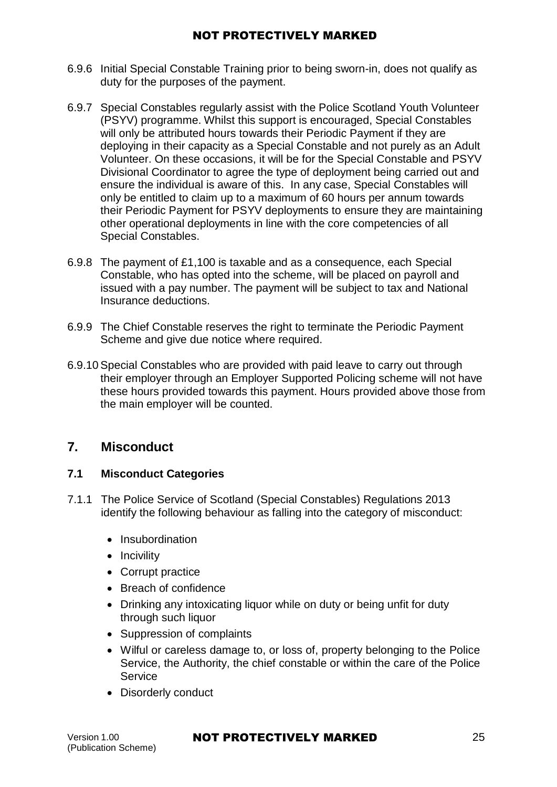- 6.9.6 Initial Special Constable Training prior to being sworn-in, does not qualify as duty for the purposes of the payment.
- 6.9.7 Special Constables regularly assist with the Police Scotland Youth Volunteer (PSYV) programme. Whilst this support is encouraged, Special Constables will only be attributed hours towards their Periodic Payment if they are deploying in their capacity as a Special Constable and not purely as an Adult Volunteer. On these occasions, it will be for the Special Constable and PSYV Divisional Coordinator to agree the type of deployment being carried out and ensure the individual is aware of this. In any case, Special Constables will only be entitled to claim up to a maximum of 60 hours per annum towards their Periodic Payment for PSYV deployments to ensure they are maintaining other operational deployments in line with the core competencies of all Special Constables.
- 6.9.8 The payment of £1,100 is taxable and as a consequence, each Special Constable, who has opted into the scheme, will be placed on payroll and issued with a pay number. The payment will be subject to tax and National Insurance deductions.
- 6.9.9 The Chief Constable reserves the right to terminate the Periodic Payment Scheme and give due notice where required.
- 6.9.10Special Constables who are provided with paid leave to carry out through their employer through an Employer Supported Policing scheme will not have these hours provided towards this payment. Hours provided above those from the main employer will be counted.

## <span id="page-24-0"></span>**7. Misconduct**

## **7.1 Misconduct Categories**

- 7.1.1 The Police Service of Scotland (Special Constables) Regulations 2013 identify the following behaviour as falling into the category of misconduct:
	- Insubordination
	- Incivility
	- Corrupt practice
	- Breach of confidence
	- Drinking any intoxicating liquor while on duty or being unfit for duty through such liquor
	- Suppression of complaints
	- Wilful or careless damage to, or loss of, property belonging to the Police Service, the Authority, the chief constable or within the care of the Police Service
	- Disorderly conduct

#### Version 1.00 **NOT PROTECTIVELY MARKED** 25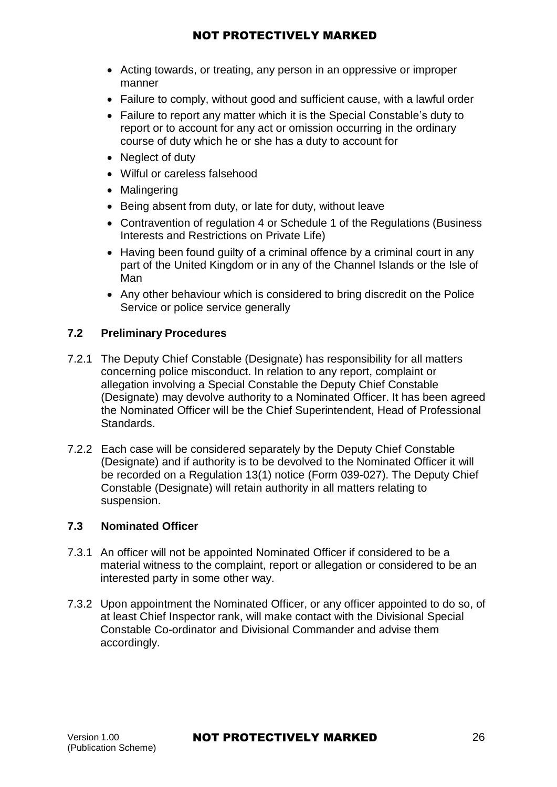- Acting towards, or treating, any person in an oppressive or improper manner
- Failure to comply, without good and sufficient cause, with a lawful order
- Failure to report any matter which it is the Special Constable's duty to report or to account for any act or omission occurring in the ordinary course of duty which he or she has a duty to account for
- Neglect of duty
- Wilful or careless falsehood
- Malingering
- Being absent from duty, or late for duty, without leave
- Contravention of regulation 4 or Schedule 1 of the Regulations (Business Interests and Restrictions on Private Life)
- Having been found guilty of a criminal offence by a criminal court in any part of the United Kingdom or in any of the Channel Islands or the Isle of Man
- Any other behaviour which is considered to bring discredit on the Police Service or police service generally

### **7.2 Preliminary Procedures**

- 7.2.1 The Deputy Chief Constable (Designate) has responsibility for all matters concerning police misconduct. In relation to any report, complaint or allegation involving a Special Constable the Deputy Chief Constable (Designate) may devolve authority to a Nominated Officer. It has been agreed the Nominated Officer will be the Chief Superintendent, Head of Professional Standards.
- 7.2.2 Each case will be considered separately by the Deputy Chief Constable (Designate) and if authority is to be devolved to the Nominated Officer it will be recorded on a Regulation 13(1) notice (Form 039-027). The Deputy Chief Constable (Designate) will retain authority in all matters relating to suspension.

### **7.3 Nominated Officer**

- 7.3.1 An officer will not be appointed Nominated Officer if considered to be a material witness to the complaint, report or allegation or considered to be an interested party in some other way.
- 7.3.2 Upon appointment the Nominated Officer, or any officer appointed to do so, of at least Chief Inspector rank, will make contact with the Divisional Special Constable Co-ordinator and Divisional Commander and advise them accordingly.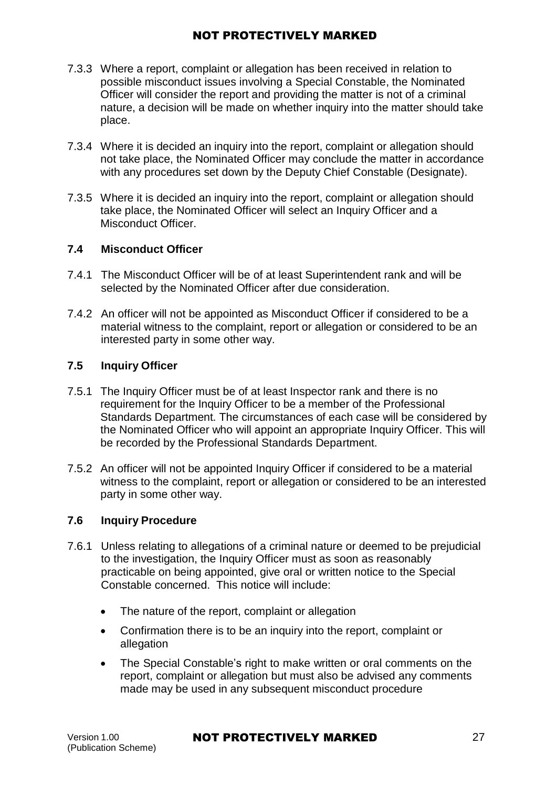- 7.3.3 Where a report, complaint or allegation has been received in relation to possible misconduct issues involving a Special Constable, the Nominated Officer will consider the report and providing the matter is not of a criminal nature, a decision will be made on whether inquiry into the matter should take place.
- 7.3.4 Where it is decided an inquiry into the report, complaint or allegation should not take place, the Nominated Officer may conclude the matter in accordance with any procedures set down by the Deputy Chief Constable (Designate).
- 7.3.5 Where it is decided an inquiry into the report, complaint or allegation should take place, the Nominated Officer will select an Inquiry Officer and a Misconduct Officer.

#### **7.4 Misconduct Officer**

- 7.4.1 The Misconduct Officer will be of at least Superintendent rank and will be selected by the Nominated Officer after due consideration.
- 7.4.2 An officer will not be appointed as Misconduct Officer if considered to be a material witness to the complaint, report or allegation or considered to be an interested party in some other way.

### **7.5 Inquiry Officer**

- 7.5.1 The Inquiry Officer must be of at least Inspector rank and there is no requirement for the Inquiry Officer to be a member of the Professional Standards Department. The circumstances of each case will be considered by the Nominated Officer who will appoint an appropriate Inquiry Officer. This will be recorded by the Professional Standards Department.
- 7.5.2 An officer will not be appointed Inquiry Officer if considered to be a material witness to the complaint, report or allegation or considered to be an interested party in some other way.

## **7.6 Inquiry Procedure**

- 7.6.1 Unless relating to allegations of a criminal nature or deemed to be prejudicial to the investigation, the Inquiry Officer must as soon as reasonably practicable on being appointed, give oral or written notice to the Special Constable concerned. This notice will include:
	- The nature of the report, complaint or allegation
	- Confirmation there is to be an inquiry into the report, complaint or allegation
	- The Special Constable's right to make written or oral comments on the report, complaint or allegation but must also be advised any comments made may be used in any subsequent misconduct procedure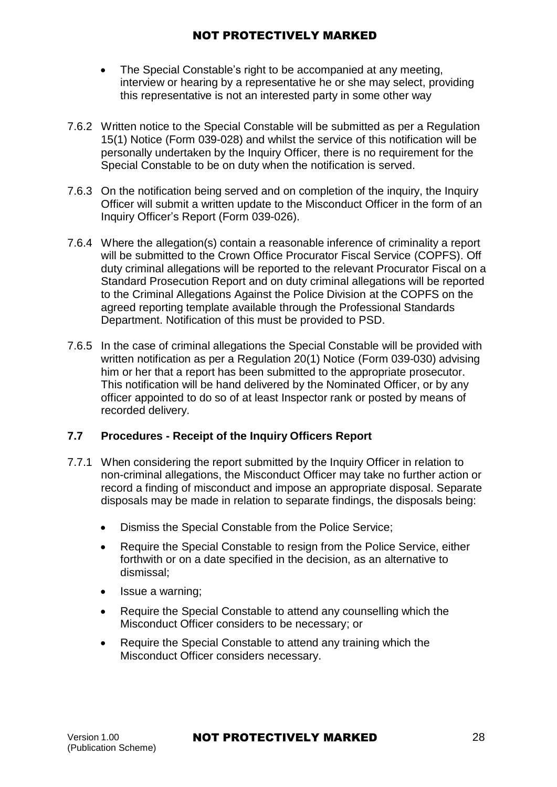- The Special Constable's right to be accompanied at any meeting, interview or hearing by a representative he or she may select, providing this representative is not an interested party in some other way
- 7.6.2 Written notice to the Special Constable will be submitted as per a Regulation 15(1) Notice (Form 039-028) and whilst the service of this notification will be personally undertaken by the Inquiry Officer, there is no requirement for the Special Constable to be on duty when the notification is served.
- 7.6.3 On the notification being served and on completion of the inquiry, the Inquiry Officer will submit a written update to the Misconduct Officer in the form of an Inquiry Officer's Report (Form 039-026).
- 7.6.4 Where the allegation(s) contain a reasonable inference of criminality a report will be submitted to the Crown Office Procurator Fiscal Service (COPFS). Off duty criminal allegations will be reported to the relevant Procurator Fiscal on a Standard Prosecution Report and on duty criminal allegations will be reported to the Criminal Allegations Against the Police Division at the COPFS on the agreed reporting template available through the Professional Standards Department. Notification of this must be provided to PSD.
- 7.6.5 In the case of criminal allegations the Special Constable will be provided with written notification as per a Regulation 20(1) Notice (Form 039-030) advising him or her that a report has been submitted to the appropriate prosecutor. This notification will be hand delivered by the Nominated Officer, or by any officer appointed to do so of at least Inspector rank or posted by means of recorded delivery.

## **7.7 Procedures - Receipt of the Inquiry Officers Report**

- 7.7.1 When considering the report submitted by the Inquiry Officer in relation to non-criminal allegations, the Misconduct Officer may take no further action or record a finding of misconduct and impose an appropriate disposal. Separate disposals may be made in relation to separate findings, the disposals being:
	- Dismiss the Special Constable from the Police Service;
	- Require the Special Constable to resign from the Police Service, either forthwith or on a date specified in the decision, as an alternative to dismissal;
	- Issue a warning;
	- Require the Special Constable to attend any counselling which the Misconduct Officer considers to be necessary; or
	- Require the Special Constable to attend any training which the Misconduct Officer considers necessary.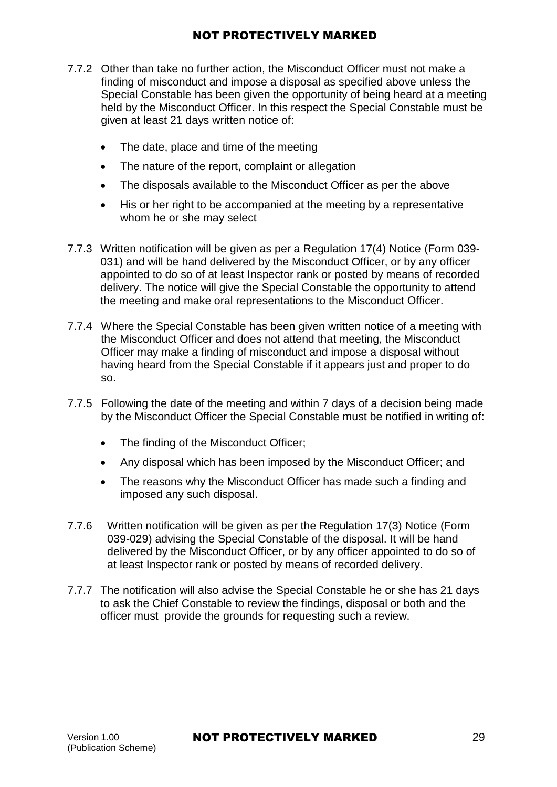- 7.7.2 Other than take no further action, the Misconduct Officer must not make a finding of misconduct and impose a disposal as specified above unless the Special Constable has been given the opportunity of being heard at a meeting held by the Misconduct Officer. In this respect the Special Constable must be given at least 21 days written notice of:
	- The date, place and time of the meeting
	- The nature of the report, complaint or allegation
	- The disposals available to the Misconduct Officer as per the above
	- His or her right to be accompanied at the meeting by a representative whom he or she may select
- 7.7.3 Written notification will be given as per a Regulation 17(4) Notice (Form 039- [031\)](https://spi.spnet.local/policescotland/guidance/Force%20Forms/Police-Scotland/Regulation%2017%20(4)%20of%20the%20PSoS%20(Special%20Constables)%20Regulations%202013%20-%20Representation%20relative%20to%20Investigation.doc) and will be hand delivered by the Misconduct Officer, or by any officer appointed to do so of at least Inspector rank or posted by means of recorded delivery. The notice will give the Special Constable the opportunity to attend the meeting and make oral representations to the Misconduct Officer.
- 7.7.4 Where the Special Constable has been given written notice of a meeting with the Misconduct Officer and does not attend that meeting, the Misconduct Officer may make a finding of misconduct and impose a disposal without having heard from the Special Constable if it appears just and proper to do so.
- 7.7.5 Following the date of the meeting and within 7 days of a decision being made by the Misconduct Officer the Special Constable must be notified in writing of:
	- The finding of the Misconduct Officer;
	- Any disposal which has been imposed by the Misconduct Officer; and
	- The reasons why the Misconduct Officer has made such a finding and imposed any such disposal.
- 7.7.6 Written notification will be given as per the Regulation 17(3) Notice (Form [039-029\)](https://spi.spnet.local/policescotland/guidance/Force%20Forms/Police-Scotland/Regulation%2017%20(3)%20of%20the%20PSoS%20(Special%20Constables)%20Regulations%202013%20-%20Finding(s)%20and%20Disposal(s).doc) advising the Special Constable of the disposal. It will be hand delivered by the Misconduct Officer, or by any officer appointed to do so of at least Inspector rank or posted by means of recorded delivery.
- 7.7.7 The notification will also advise the Special Constable he or she has 21 days to ask the Chief Constable to review the findings, disposal or both and the officer must provide the grounds for requesting such a review.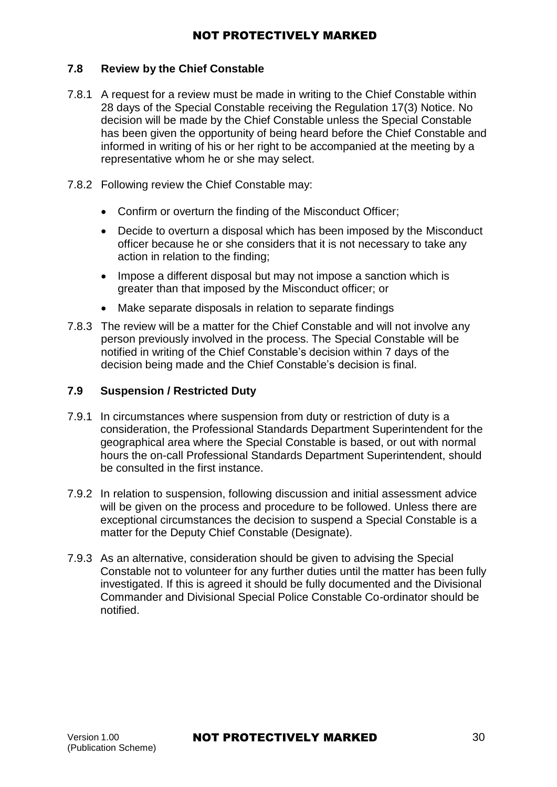#### **7.8 Review by the Chief Constable**

- 7.8.1 A request for a review must be made in writing to the Chief Constable within 28 days of the Special Constable receiving the Regulation 17(3) Notice. No decision will be made by the Chief Constable unless the Special Constable has been given the opportunity of being heard before the Chief Constable and informed in writing of his or her right to be accompanied at the meeting by a representative whom he or she may select.
- 7.8.2 Following review the Chief Constable may:
	- Confirm or overturn the finding of the Misconduct Officer;
	- Decide to overturn a disposal which has been imposed by the Misconduct officer because he or she considers that it is not necessary to take any action in relation to the finding;
	- Impose a different disposal but may not impose a sanction which is greater than that imposed by the Misconduct officer; or
	- Make separate disposals in relation to separate findings
- 7.8.3 The review will be a matter for the Chief Constable and will not involve any person previously involved in the process. The Special Constable will be notified in writing of the Chief Constable's decision within 7 days of the decision being made and the Chief Constable's decision is final.

#### **7.9 Suspension / Restricted Duty**

- 7.9.1 In circumstances where suspension from duty or restriction of duty is a consideration, the Professional Standards Department Superintendent for the geographical area where the Special Constable is based, or out with normal hours the on-call Professional Standards Department Superintendent, should be consulted in the first instance.
- 7.9.2 In relation to suspension, following discussion and initial assessment advice will be given on the process and procedure to be followed. Unless there are exceptional circumstances the decision to suspend a Special Constable is a matter for the Deputy Chief Constable (Designate).
- 7.9.3 As an alternative, consideration should be given to advising the Special Constable not to volunteer for any further duties until the matter has been fully investigated. If this is agreed it should be fully documented and the Divisional Commander and Divisional Special Police Constable Co-ordinator should be notified.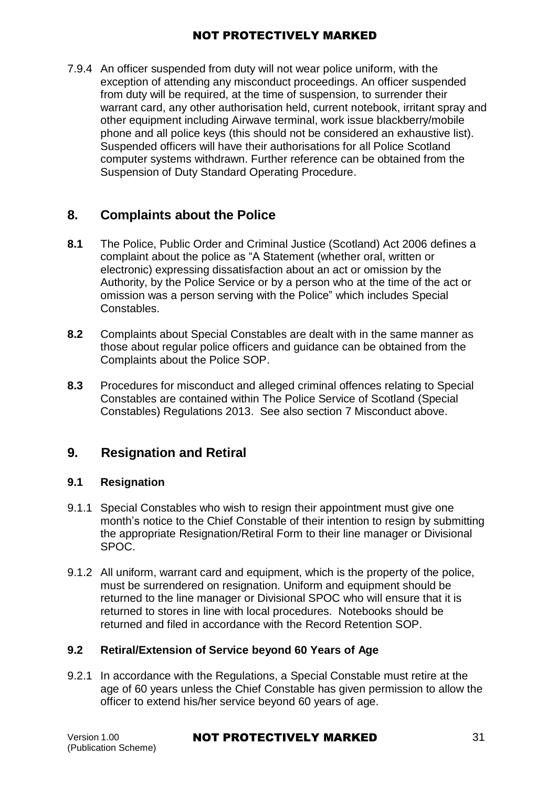7.9.4 An officer suspended from duty will not wear police uniform, with the exception of attending any misconduct proceedings. An officer suspended from duty will be required, at the time of suspension, to surrender their warrant card, any other authorisation held, current notebook, irritant spray and other equipment including Airwave terminal, work issue blackberry/mobile phone and all police keys (this should not be considered an exhaustive list). Suspended officers will have their authorisations for all Police Scotland computer systems withdrawn. Further reference can be obtained from the Suspension of Duty Standard Operating Procedure.

## <span id="page-30-0"></span>**8. Complaints about the Police**

- **8.1** The Police, Public Order and Criminal Justice (Scotland) Act 2006 defines a complaint about the police as "A Statement (whether oral, written or electronic) expressing dissatisfaction about an act or omission by the Authority, by the Police Service or by a person who at the time of the act or omission was a person serving with the Police" which includes Special Constables.
- **8.2** Complaints about Special Constables are dealt with in the same manner as those about regular police officers and guidance can be obtained from the Complaints about the Police SOP.
- <span id="page-30-1"></span>**8.3** Procedures for misconduct and alleged criminal offences relating to Special Constables are contained within The Police Service of Scotland (Special [Constables\) Regulations 2013.](http://www.legislation.gov.uk/ssi/2013/43/contents/made) See also section 7 Misconduct above.

## **9. Resignation and Retiral**

#### **9.1 Resignation**

- 9.1.1 Special Constables who wish to resign their appointment must give one month's notice to the Chief Constable of their intention to resign by submitting the appropriate Resignation/Retiral Form to their line manager or Divisional SPOC.
- 9.1.2 All uniform, warrant card and equipment, which is the property of the police, must be surrendered on resignation. Uniform and equipment should be returned to the line manager or Divisional SPOC who will ensure that it is returned to stores in line with local procedures. Notebooks should be returned and filed in accordance with the Record Retention SOP.

### **9.2 Retiral/Extension of Service beyond 60 Years of Age**

9.2.1 In accordance with the Regulations, a Special Constable must retire at the age of 60 years unless the Chief Constable has given permission to allow the officer to extend his/her service beyond 60 years of age.

## Version 1.00 **NOT PROTECTIVELY MARKED** 31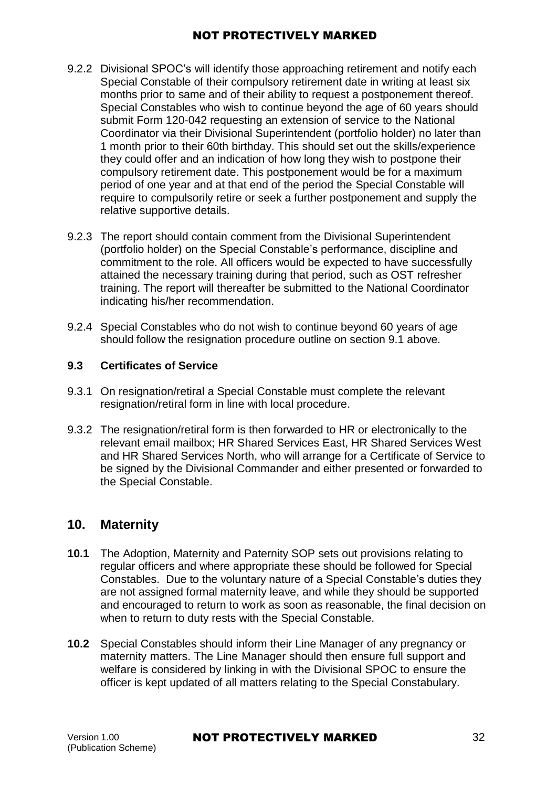- 9.2.2 Divisional SPOC's will identify those approaching retirement and notify each Special Constable of their compulsory retirement date in writing at least six months prior to same and of their ability to request a postponement thereof. Special Constables who wish to continue beyond the age of 60 years should submit Form 120-042 requesting an extension of service to the National Coordinator via their Divisional Superintendent (portfolio holder) no later than 1 month prior to their 60th birthday. This should set out the skills/experience they could offer and an indication of how long they wish to postpone their compulsory retirement date. This postponement would be for a maximum period of one year and at that end of the period the Special Constable will require to compulsorily retire or seek a further postponement and supply the relative supportive details.
- 9.2.3 The report should contain comment from the Divisional Superintendent (portfolio holder) on the Special Constable's performance, discipline and commitment to the role. All officers would be expected to have successfully attained the necessary training during that period, such as OST refresher training. The report will thereafter be submitted to the National Coordinator indicating his/her recommendation.
- 9.2.4 Special Constables who do not wish to continue beyond 60 years of age should follow the resignation procedure outline on section 9.1 above.

### **9.3 Certificates of Service**

- 9.3.1 On resignation/retiral a Special Constable must complete the relevant resignation/retiral form in line with local procedure.
- 9.3.2 The resignation/retiral form is then forwarded to HR or electronically to the relevant email mailbox; HR Shared Services East, HR Shared Services West and HR Shared Services North, who will arrange for a Certificate of Service to be signed by the Divisional Commander and either presented or forwarded to the Special Constable.

## <span id="page-31-0"></span>**10. Maternity**

- **10.1** The Adoption, Maternity and Paternity SOP sets out provisions relating to regular officers and where appropriate these should be followed for Special Constables. Due to the voluntary nature of a Special Constable's duties they are not assigned formal maternity leave, and while they should be supported and encouraged to return to work as soon as reasonable, the final decision on when to return to duty rests with the Special Constable.
- **10.2** Special Constables should inform their Line Manager of any pregnancy or maternity matters. The Line Manager should then ensure full support and welfare is considered by linking in with the Divisional SPOC to ensure the officer is kept updated of all matters relating to the Special Constabulary.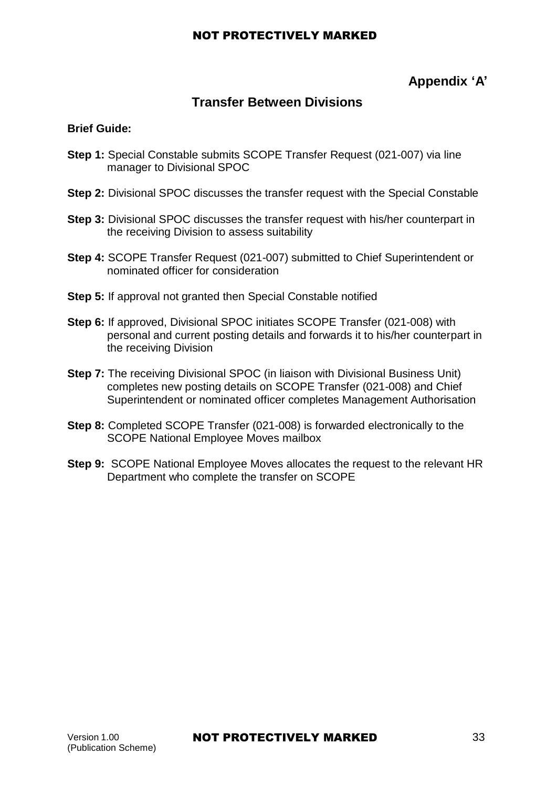## **Appendix 'A'**

## **Transfer Between Divisions**

#### **Brief Guide:**

- **Step 1:** Special Constable submits SCOPE Transfer Request (021-007) via line manager to Divisional SPOC
- **Step 2:** Divisional SPOC discusses the transfer request with the Special Constable
- **Step 3:** Divisional SPOC discusses the transfer request with his/her counterpart in the receiving Division to assess suitability
- **Step 4:** SCOPE Transfer Request (021-007) submitted to Chief Superintendent or nominated officer for consideration
- **Step 5:** If approval not granted then Special Constable notified
- **Step 6:** If approved, Divisional SPOC initiates SCOPE Transfer (021-008) with personal and current posting details and forwards it to his/her counterpart in the receiving Division
- **Step 7:** The receiving Divisional SPOC (in liaison with Divisional Business Unit) completes new posting details on SCOPE Transfer (021-008) and Chief Superintendent or nominated officer completes Management Authorisation
- **Step 8:** Completed SCOPE Transfer (021-008) is forwarded electronically to the SCOPE National Employee Moves mailbox
- **Step 9:** SCOPE National Employee Moves allocates the request to the relevant HR Department who complete the transfer on SCOPE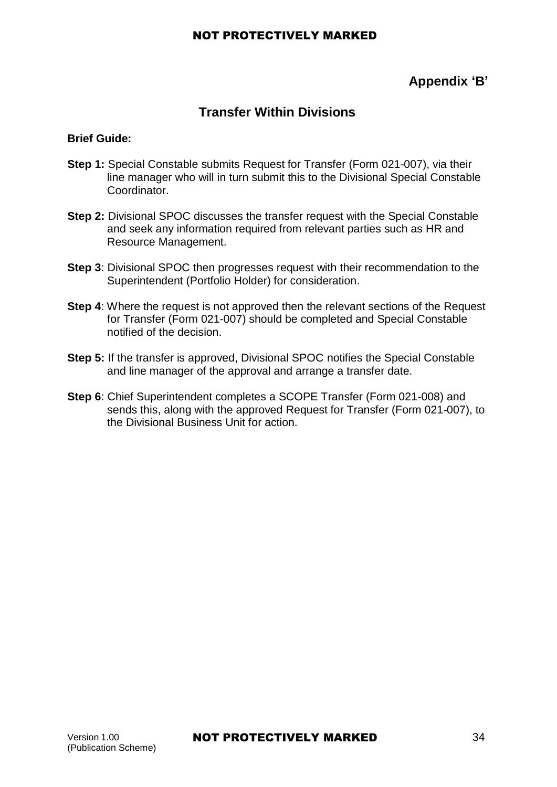## **Appendix 'B'**

## **Transfer Within Divisions**

### **Brief Guide:**

- **Step 1:** Special Constable submits Request for Transfer (Form 021-007), via their line manager who will in turn submit this to the Divisional Special Constable Coordinator.
- **Step 2:** Divisional SPOC discusses the transfer request with the Special Constable and seek any information required from relevant parties such as HR and Resource Management.
- **Step 3**: Divisional SPOC then progresses request with their recommendation to the Superintendent (Portfolio Holder) for consideration.
- **Step 4**: Where the request is not approved then the relevant sections of the Request for Transfer (Form 021-007) should be completed and Special Constable notified of the decision.
- **Step 5:** If the transfer is approved, Divisional SPOC notifies the Special Constable and line manager of the approval and arrange a transfer date.
- **Step 6**: Chief Superintendent completes a SCOPE Transfer (Form 021-008) and sends this, along with the approved Request for Transfer (Form 021-007), to the Divisional Business Unit for action.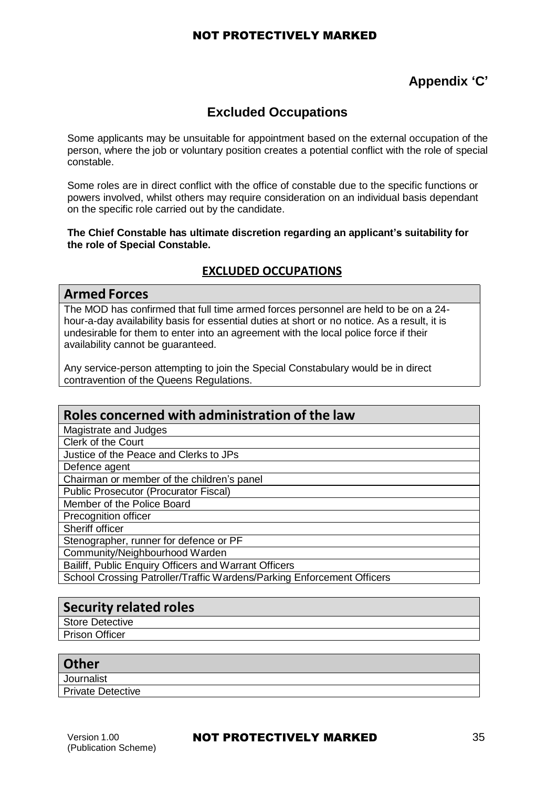## **Appendix 'C'**

## **Excluded Occupations**

Some applicants may be unsuitable for appointment based on the external occupation of the person, where the job or voluntary position creates a potential conflict with the role of special constable.

Some roles are in direct conflict with the office of constable due to the specific functions or powers involved, whilst others may require consideration on an individual basis dependant on the specific role carried out by the candidate.

**The Chief Constable has ultimate discretion regarding an applicant's suitability for the role of Special Constable.**

### **EXCLUDED OCCUPATIONS**

#### **Armed Forces**

The MOD has confirmed that full time armed forces personnel are held to be on a 24 hour-a-day availability basis for essential duties at short or no notice. As a result, it is undesirable for them to enter into an agreement with the local police force if their availability cannot be guaranteed.

Any service-person attempting to join the Special Constabulary would be in direct contravention of the Queens Regulations.

## **Roles concerned with administration of the law**

| Magistrate and Judges                                                  |
|------------------------------------------------------------------------|
| Clerk of the Court                                                     |
| Justice of the Peace and Clerks to JPs                                 |
| Defence agent                                                          |
| Chairman or member of the children's panel                             |
| <b>Public Prosecutor (Procurator Fiscal)</b>                           |
| Member of the Police Board                                             |
| Precognition officer                                                   |
| Sheriff officer                                                        |
| Stenographer, runner for defence or PF                                 |
| Community/Neighbourhood Warden                                         |
| Bailiff, Public Enquiry Officers and Warrant Officers                  |
| School Crossing Patroller/Traffic Wardens/Parking Enforcement Officers |
|                                                                        |

## **Security related roles**

Store Detective

Prison Officer

#### **Other**

**Journalist** Private Detective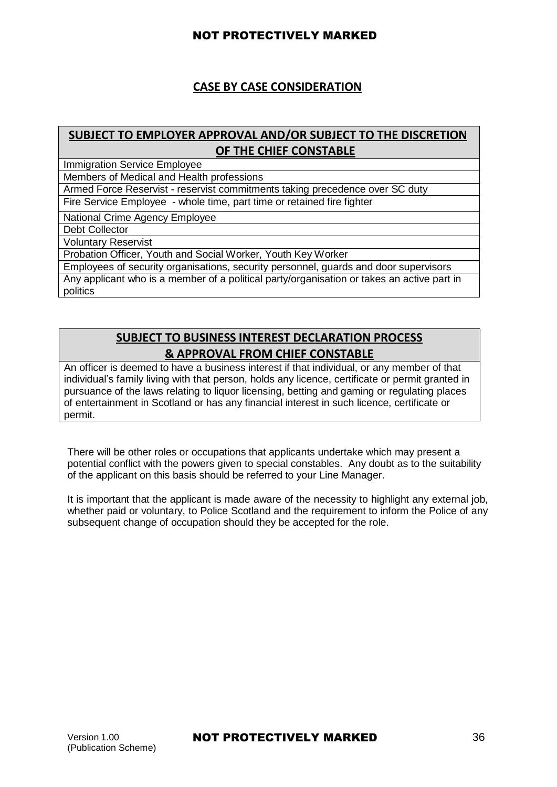## **CASE BY CASE CONSIDERATION**

## **SUBJECT TO EMPLOYER APPROVAL AND/OR SUBJECT TO THE DISCRETION OF THE CHIEF CONSTABLE**

Immigration Service Employee

Members of Medical and Health professions

Armed Force Reservist - reservist commitments taking precedence over SC duty Fire Service Employee - whole time, part time or retained fire fighter

National Crime Agency Employee

Debt Collector

Voluntary Reservist

Probation Officer, Youth and Social Worker, Youth Key Worker

Employees of security organisations, security personnel, guards and door supervisors Any applicant who is a member of a political party/organisation or takes an active part in politics

## **SUBJECT TO BUSINESS INTEREST DECLARATION PROCESS & APPROVAL FROM CHIEF CONSTABLE**

An officer is deemed to have a business interest if that individual, or any member of that individual's family living with that person, holds any licence, certificate or permit granted in pursuance of the laws relating to liquor licensing, betting and gaming or regulating places of entertainment in Scotland or has any financial interest in such licence, certificate or permit.

There will be other roles or occupations that applicants undertake which may present a potential conflict with the powers given to special constables. Any doubt as to the suitability of the applicant on this basis should be referred to your Line Manager.

It is important that the applicant is made aware of the necessity to highlight any external job, whether paid or voluntary, to Police Scotland and the requirement to inform the Police of any subsequent change of occupation should they be accepted for the role.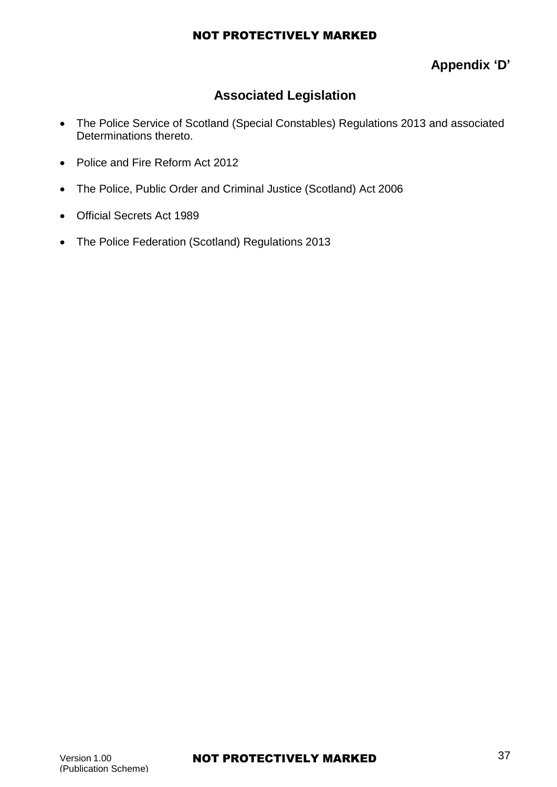## **Appendix 'D'**

## **Associated Legislation**

- The Police Service of Scotland (Special Constables) Regulations 2013 and associated Determinations thereto.
- Police and Fire Reform Act 2012
- The Police, Public Order and Criminal Justice (Scotland) Act 2006
- Official Secrets Act 1989
- The Police Federation (Scotland) Regulations 2013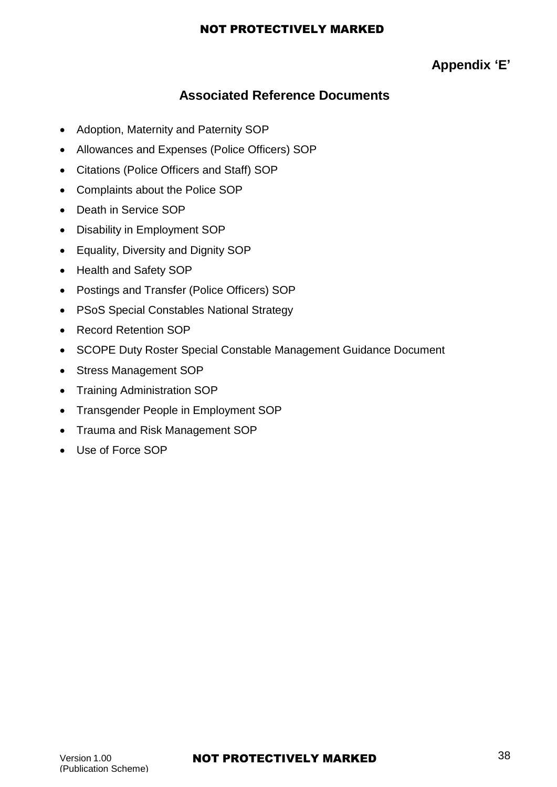## **Appendix 'E'**

## **Associated Reference Documents**

- Adoption, Maternity and Paternity SOP
- Allowances and Expenses (Police Officers) SOP
- Citations (Police Officers and Staff) SOP
- Complaints about the Police SOP
- Death in Service SOP
- Disability in Employment SOP
- Equality, Diversity and Dignity SOP
- Health and Safety SOP
- Postings and Transfer (Police Officers) SOP
- PSoS Special Constables National Strategy
- Record Retention SOP
- SCOPE Duty Roster Special Constable Management Guidance Document
- Stress Management SOP
- Training Administration SOP
- Transgender People in Employment SOP
- Trauma and Risk Management SOP
- Use of Force SOP